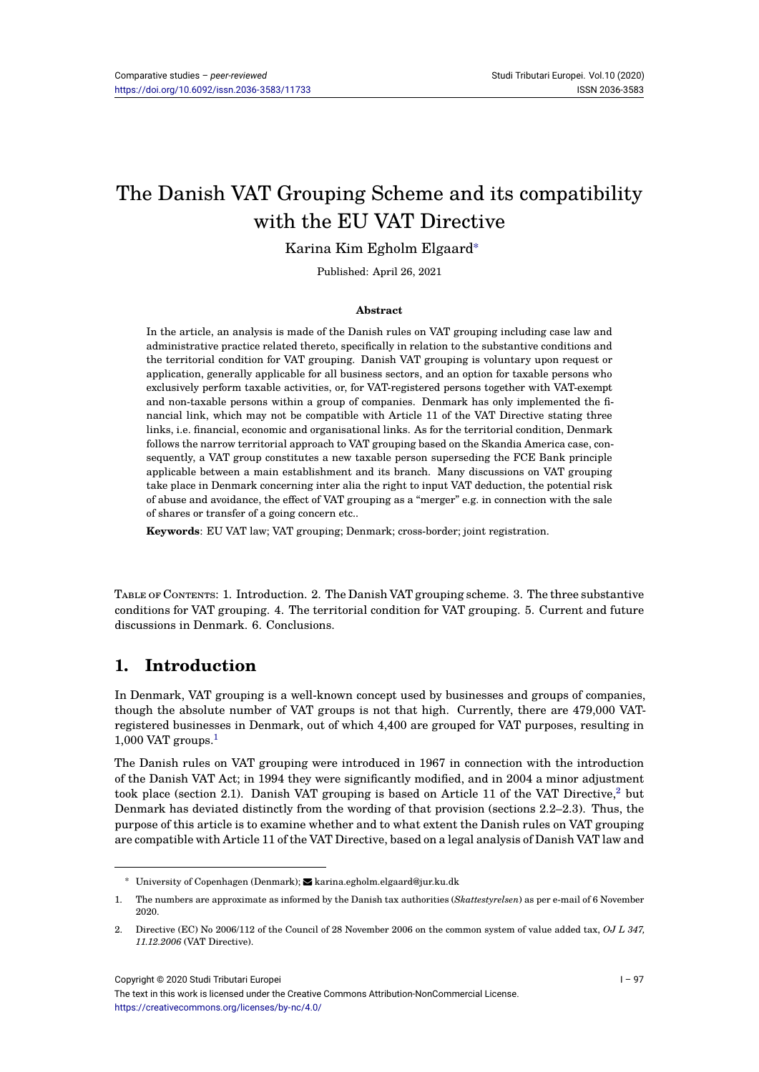# The Danish VAT Grouping Scheme and its compatibility with the EU VAT Directive

### Karina Kim Egholm Elgaard<sup>∗</sup>

Published: April 26, 2021

#### **Abstract**

In the article, an analysis is made of the Danish rules on VAT grouping including case law and administrative practice related thereto, specifically in relation to the substantive conditions and the territorial condition for VAT grouping. Danish VAT grouping is voluntary upon request or application, generally applicable for all business sectors, and an option for taxable persons who exclusively perform taxable activities, or, for VAT-registered persons together with VAT-exempt and non-taxable persons within a group of companies. Denmark has only implemented the financial link, which may not be compatible with Article 11 of the VAT Directive stating three links, i.e. financial, economic and organisational links. As for the territorial condition, Denmark follows the narrow territorial approach to VAT grouping based on the Skandia America case, consequently, a VAT group constitutes a new taxable person superseding the FCE Bank principle applicable between a main establishment and its branch. Many discussions on VAT grouping take place in Denmark concerning inter alia the right to input VAT deduction, the potential risk of abuse and avoidance, the effect of VAT grouping as a "merger" e.g. in connection with the sale of shares or transfer of a going concern etc..

**Keywords**: EU VAT law; VAT grouping; Denmark; cross-border; joint registration.

TABLE OF CONTENTS: 1. Introduction. 2. The Danish VAT grouping scheme. 3. The three substantive conditions for VAT grouping. 4. The territorial condition for VAT grouping. 5. Current and future discussions in Denmark. 6. Conclusions.

# **1. Introduction**

In Denmark, VAT grouping is a well-known concept used by businesses and groups of companies, though the absolute number of VAT groups is not that high. Currently, there are 479,000 VATregistered businesses in Denmark, out of which 4,400 are grouped for VAT purposes, resulting in  $1,000$  VAT groups.<sup>1</sup>

The Danish rules on VAT grouping were introduced in 1967 in connection with the introduction of the Danish VAT Act; in 1994 they were significantly modified, and in 2004 a minor adjustment took place (sectio[n](#page-0-0) 2.1). Danish VAT grouping is based on Article 11 of the VAT Directive,  $2$  but Denmark has deviated distinctly from the wording of that provision (sections 2.2–2.3). Thus, the purpose of this article is to examine whether and to what extent the Danish rules on VAT grouping are compatible with Article 11 of the VAT Directive, based on a legal analysis of Danish VAT law and

<span id="page-0-0"></span>Copyright © 2020 Studi Tributari Europei

<sup>∗</sup> University of Copenhagen (Denmark); karina.egholm.elgaard@jur.ku.dk

<sup>1.</sup> The numbers are approximate as informed by the Danish tax authorities (*Skattestyrelsen*) as per e-mail of 6 November 2020.

<sup>2.</sup> Directive (EC) No 2006/112 of the Council of 28 November 2006 on the common system of value added tax, *OJ L 347, 11.12.2006* (VAT Directive).

The text in this work is licensed under the Creative Commons Attribution-NonCommercial License. https://creativecommons.org/licenses/by-nc/4.0/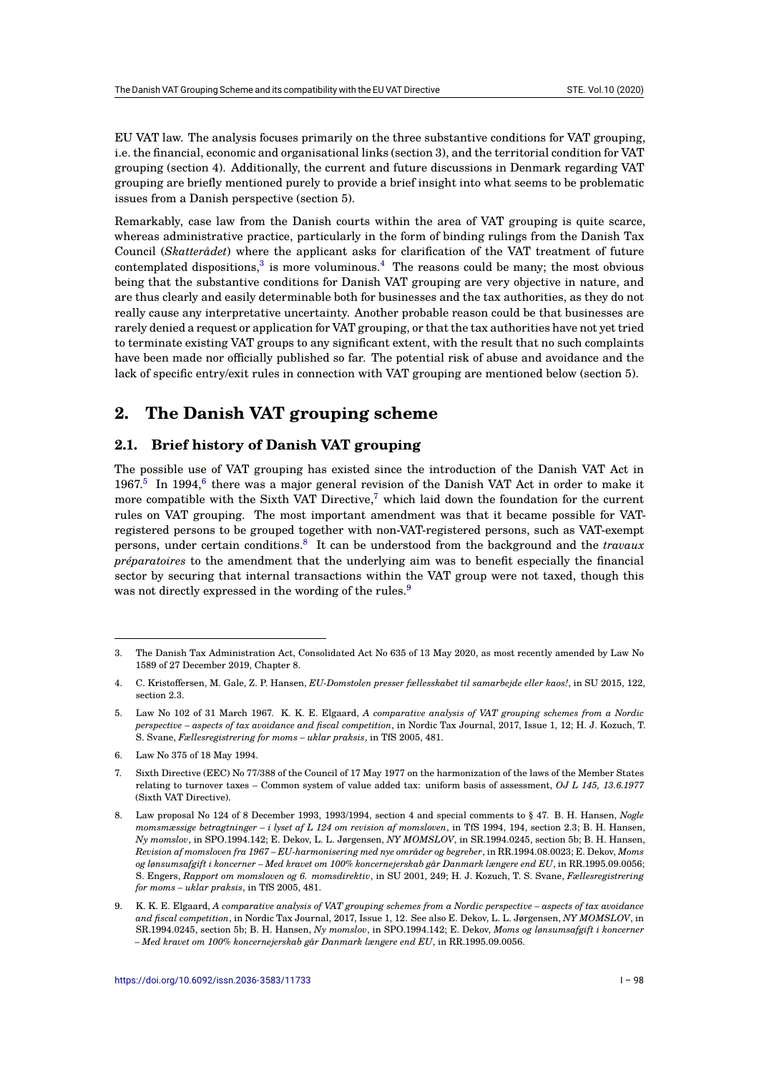EU VAT law. The analysis focuses primarily on the three substantive conditions for VAT grouping, i.e. the financial, economic and organisational links (section 3), and the territorial condition for VAT grouping (section 4). Additionally, the current and future discussions in Denmark regarding VAT grouping are briefly mentioned purely to provide a brief insight into what seems to be problematic issues from a Danish perspective (section 5).

Remarkably, case law from the Danish courts within the area of VAT grouping is quite scarce, whereas administrative practice, particularly in the form of binding rulings from the Danish Tax Council (*Skatterådet*) where the applicant asks for clarification of the VAT treatment of future contemplated dispositions, $3$  is more voluminous.<sup>4</sup> The reasons could be many; the most obvious being that the substantive conditions for Danish VAT grouping are very objective in nature, and are thus clearly and easily determinable both for businesses and the tax authorities, as they do not really cause any interpretative uncertainty. Another probable reason could be that businesses are rarely denied a request or a[p](#page-1-0)plication for VAT gro[up](#page-1-1)ing, or that the tax authorities have not yet tried to terminate existing VAT groups to any significant extent, with the result that no such complaints have been made nor officially published so far. The potential risk of abuse and avoidance and the lack of specific entry/exit rules in connection with VAT grouping are mentioned below (section 5).

# **2. The Danish VAT grouping scheme**

# **2.1. Brief history of Danish VAT grouping**

The possible use of VAT grouping has existed since the introduction of the Danish VAT Act in 1967.<sup>5</sup> In 1994,<sup>6</sup> there was a major general revision of the Danish VAT Act in order to make it more compatible with the Sixth VAT Directive,<sup>7</sup> which laid down the foundation for the current rules on VAT grouping. The most important amendment was that it became possible for VATregistered persons to be grouped together with non-VAT-registered persons, such as VAT-exempt pers[on](#page-1-2)s, under [ce](#page-1-3)rtain conditions.<sup>8</sup> It can be understood from the background and the *travaux préparatoires* to the amendment that the und[erl](#page-1-4)ying aim was to benefit especially the financial sector by securing that internal transactions within the VAT group were not taxed, though this was not directly expressed in the wording of the rules.<sup>9</sup>

<sup>3.</sup> The Danish Tax Administration Act, Consolidated Act No 635 [o](#page-1-5)f 13 May 2020, as most recently amended by Law No 1589 of 27 December 2019, Chapter 8.

<sup>4.</sup> C. Kristoffersen, M. Gale, Z. P. Hansen, *EU-Domstolen presser fællesskabet til samarbejde eller kaos!*, in SU 2015, 122, section 2.3.

<span id="page-1-0"></span><sup>5.</sup> Law No 102 of 31 March 1967. K. K. E. Elgaard, *A comparative analysis of VAT grouping schemes from a Nordic perspective – aspects of tax avoidance and fiscal competition*, in Nordic Tax Journal, 2017, Issue 1, 12; H. J. Kozuch, T. S. Svane, *Fællesregistrering for moms – uklar praksis*, in TfS 2005, 481.

<span id="page-1-1"></span><sup>6.</sup> Law No 375 of 18 May 1994.

<span id="page-1-2"></span><sup>7.</sup> Sixth Directive (EEC) No 77/388 of the Council of 17 May 1977 on the harmonization of the laws of the Member States relating to turnover taxes – Common system of value added tax: uniform basis of assessment, *OJ L 145, 13.6.1977* (Sixth VAT Directive).

<span id="page-1-4"></span><span id="page-1-3"></span><sup>8.</sup> Law proposal No 124 of 8 December 1993, 1993/1994, section 4 and special comments to § 47. B. H. Hansen, *Nogle momsmæssige betragtninger – i lyset af L 124 om revision af momsloven*, in TfS 1994, 194, section 2.3; B. H. Hansen, *Ny momslov*, in SPO.1994.142; E. Dekov, L. L. Jørgensen, *NY MOMSLOV*, in SR.1994.0245, section 5b; B. H. Hansen, *Revision af momsloven fra 1967 – EU-harmonisering med nye områder og begreber*, in RR.1994.08.0023; E. Dekov, *Moms og lønsumsafgift i koncerner – Med kravet om 100% koncernejerskab går Danmark længere end EU*, in RR.1995.09.0056; S. Engers, *Rapport om momsloven og 6. momsdirektiv*, in SU 2001, 249; H. J. Kozuch, T. S. Svane, *Fællesregistrering for moms – uklar praksis*, in TfS 2005, 481.

<span id="page-1-5"></span><sup>9.</sup> K. K. E. Elgaard, *A comparative analysis of VAT grouping schemes from a Nordic perspective – aspects of tax avoidance and fiscal competition*, in Nordic Tax Journal, 2017, Issue 1, 12. See also E. Dekov, L. L. Jørgensen, *NY MOMSLOV*, in SR.1994.0245, section 5b; B. H. Hansen, *Ny momslov*, in SPO.1994.142; E. Dekov, *Moms og lønsumsafgift i koncerner – Med kravet om 100% koncernejerskab går Danmark længere end EU*, in RR.1995.09.0056.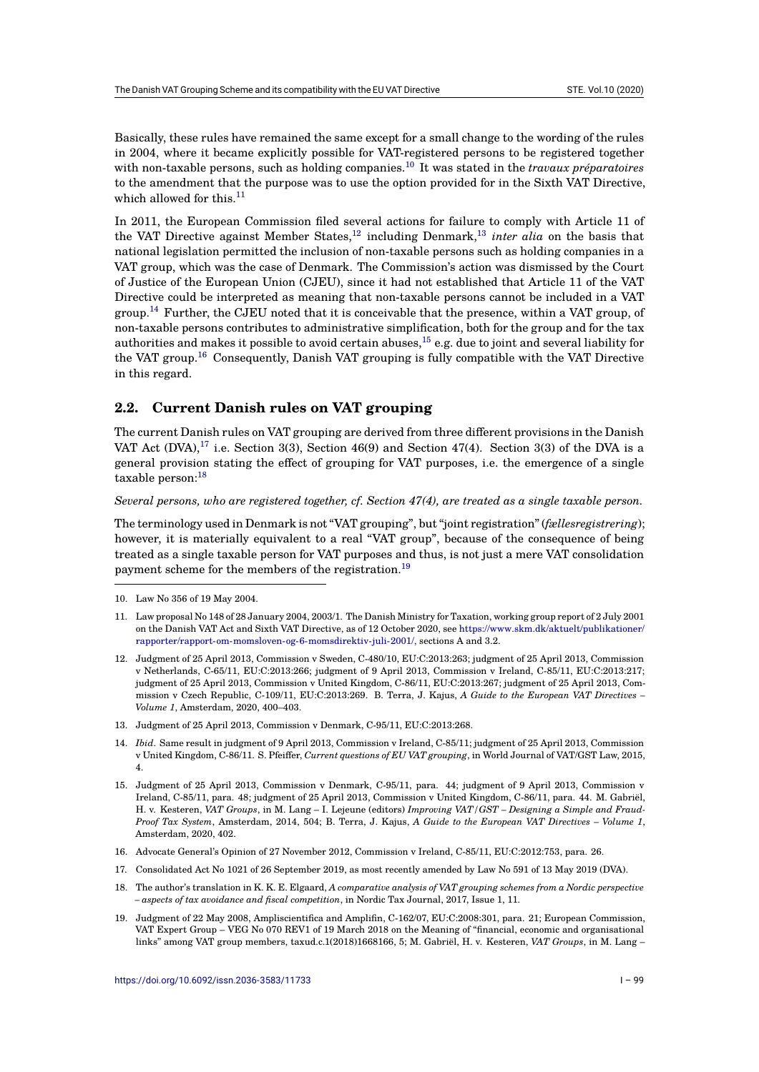Basically, these rules have remained the same except for a small change to the wording of the rules in 2004, where it became explicitly possible for VAT-registered persons to be registered together with non-taxable persons, such as holding companies.<sup>10</sup> It was stated in the *travaux préparatoires* to the amendment that the purpose was to use the option provided for in the Sixth VAT Directive, which allowed for this. $^{11}$ 

In 2011, the European Commission filed several act[ion](#page-2-0)s for failure to comply with Article 11 of the VAT Directive against Member States,  $12$  including Denmark,  $13$  *inter alia* on the basis that national legislation pe[rm](#page-2-1)itted the inclusion of non-taxable persons such as holding companies in a VAT group, which was the case of Denmark. The Commission's action was dismissed by the Court of Justice of the European Union (CJEU), since it had not established that Article 11 of the VAT Directive could be interpreted as meaning [th](#page-2-2)at non-taxable perso[ns](#page-2-3) cannot be included in a VAT group.<sup>14</sup> Further, the CJEU noted that it is conceivable that the presence, within a VAT group, of non-taxable persons contributes to administrative simplification, both for the group and for the tax authorities and makes it possible to avoid certain abuses,  $^{15}$  e.g. due to joint and several liability for the VAT group.<sup>16</sup> Consequently, Danish VAT grouping is fully compatible with the VAT Directive in thi[s re](#page-2-4)gard.

# **2.2. Curre[nt](#page-2-6) Danish rules on VAT groupi[ng](#page-2-5)**

The current Danish rules on VAT grouping are derived from three different provisions in the Danish VAT Act  $(DVA),<sup>17</sup>$  i.e. Section 3(3), Section 46(9) and Section 47(4). Section 3(3) of the DVA is a general provision stating the effect of grouping for VAT purposes, i.e. the emergence of a single taxable person:<sup>18</sup>

#### *Several persons[, w](#page-2-7)ho are registered together, cf. Section 47(4), are treated as a single taxable person.*

The terminology used in Denmark is not "VAT grouping", but "joint registration" (*fællesregistrering*); however, it is [ma](#page-2-8)terially equivalent to a real "VAT group", because of the consequence of being treated as a single taxable person for VAT purposes and thus, is not just a mere VAT consolidation payment scheme for the members of the registration.<sup>19</sup>

- <span id="page-2-1"></span><span id="page-2-0"></span>12. Judgment of 25 April 2013, Commission v Sweden, C-480/10, EU:C:2013:263; judgment of 25 April 2013, Commission v Netherlands, C-65/11, EU:C:2013:266; judgment of 9 April 2013, Commission v Ireland, C-85/11, EU:C:2013:217; judgment of 25 April 2013, Commission v United Kingdom, C-86/11, EU:C:2013:267; judgment of 25 April 2013, Commission v Czech Republic, C-109/11, EU:C:2013:269. B. Terra, J. Kajus, *[A Guide to the European VAT Directives –](https://www.skm.dk/aktuelt/publikationer/rapporter/rapport-om-momsloven-og-6-momsdirektiv-juli-2001/) Volume 1*[, Amsterdam, 2020, 400–403.](https://www.skm.dk/aktuelt/publikationer/rapporter/rapport-om-momsloven-og-6-momsdirektiv-juli-2001/)
- <span id="page-2-2"></span>13. Judgment of 25 April 2013, Commission v Denmark, C-95/11, EU:C:2013:268.
- 14. *Ibid*. Same result in judgment of 9 April 2013, Commission v Ireland, C-85/11; judgment of 25 April 2013, Commission v United Kingdom, C-86/11. S. Pfeiffer, *Current questions of EU VAT grouping*, in World Journal of VAT/GST Law, 2015, 4.
- <span id="page-2-4"></span><span id="page-2-3"></span>15. Judgment of 25 April 2013, Commission v Denmark, C-95/11, para. 44; judgment of 9 April 2013, Commission v Ireland, C-85/11, para. 48; judgment of 25 April 2013, Commission v United Kingdom, C-86/11, para. 44. M. Gabriël, H. v. Kesteren, *VAT Groups*, in M. Lang – I. Lejeune (editors) *Improving VAT/GST – Designing a Simple and Fraud-Proof Tax System*, Amsterdam, 2014, 504; B. Terra, J. Kajus, *A Guide to the European VAT Directives – Volume 1*, Amsterdam, 2020, 402.
- <span id="page-2-5"></span>16. Advocate General's Opinion of 27 November 2012, Commission v Ireland, C-85/11, EU:C:2012:753, para. 26.
- 17. Consolidated Act No 1021 of 26 September 2019, as most recently amended by Law No 591 of 13 May 2019 (DVA).
- 18. The author's translation in K. K. E. Elgaard, *A comparative analysis of VAT grouping schemes from a Nordic perspective – aspects of tax avoidance and fiscal competition*, in Nordic Tax Journal, 2017, Issue 1, 11.
- <span id="page-2-9"></span><span id="page-2-8"></span><span id="page-2-7"></span><span id="page-2-6"></span>19. Judgment of 22 May 2008, Ampliscientifica and Amplifin, C-162/07, EU:C:2008:301, para. 21; European Commission, VAT Expert Group – VEG No 070 REV1 of 19 March 2018 on the Meaning of "financial, economic and organisational links" among VAT group members, taxud.c.1(2018)1668166, 5; M. Gabriël, H. v. Kesteren, *VAT Groups*, in M. Lang –

<sup>10.</sup> Law No 356 of 19 May 2004.

<sup>11.</sup> Law proposal No 148 of 28 January 2004, 2003/1. The Danish Ministry for Taxation, working group report of 2 July 2001 on the Danish VAT Act and Sixth VAT Directive, as of 12 Octo[be](#page-2-9)r 2020, see https://www.skm.dk/aktuelt/publikationer/ rapporter/rapport-om-momsloven-og-6-momsdirektiv-juli-2001/, sections A and 3.2.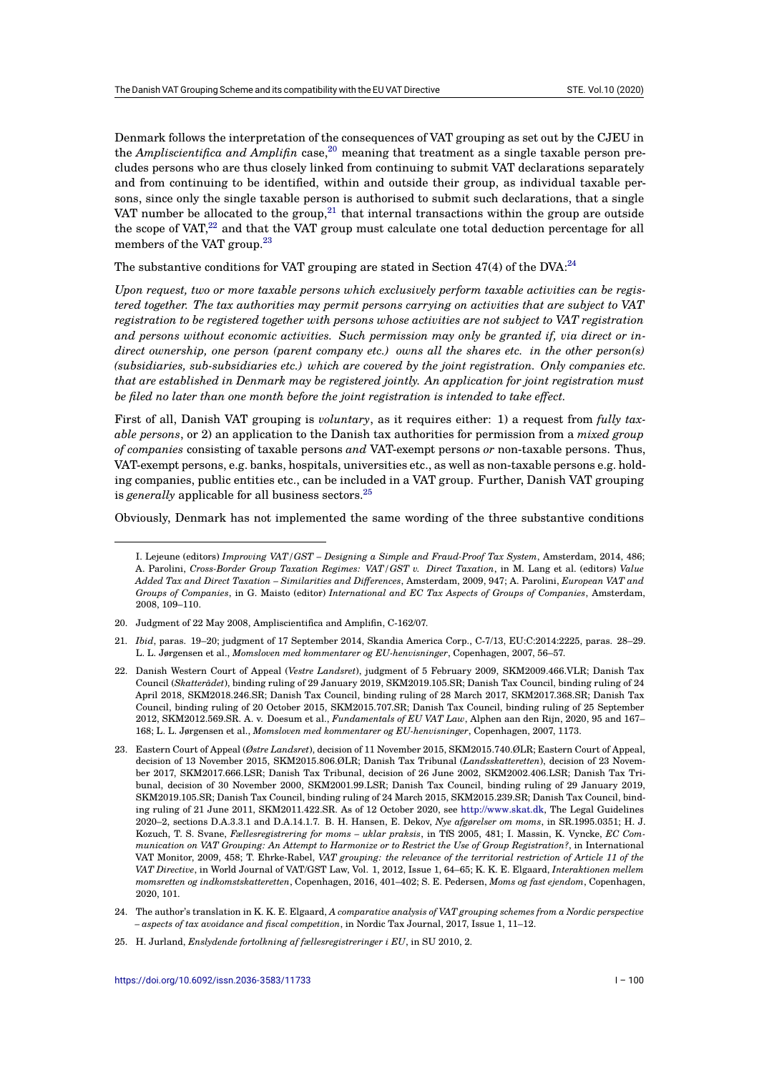Denmark follows the interpretation of the consequences of VAT grouping as set out by the CJEU in the *Ampliscientifica and Amplifin* case,<sup>20</sup> meaning that treatment as a single taxable person precludes persons who are thus closely linked from continuing to submit VAT declarations separately and from continuing to be identified, within and outside their group, as individual taxable persons, since only the single taxable person is authorised to submit such declarations, that a single VAT number be allocated to the group,  $21$  that internal transactions within the group are outside the scope of VAT, $^{22}$  and that the VAT group must calculate one total deduction percentage for all members of the VAT group.<sup>23</sup>

The substantive conditions for VAT gro[up](#page-3-1)ing are stated in Section  $47(4)$  of the DVA: $^{24}$ 

*Upon request, tw[o o](#page-3-2)r more taxable persons which exclusively perform taxable activities can be registered together. The tax auth[ori](#page-3-3)ties may permit persons carrying on activities that are subject to VAT registration to be registered together with persons whose activities are not subject to V[AT](#page-3-4) registration and persons without economic activities. Such permission may only be granted if, via direct or indirect ownership, one person (parent company etc.) owns all the shares etc. in the other person(s) (subsidiaries, sub-subsidiaries etc.) which are covered by the joint registration. Only companies etc. that are established in Denmark may be registered jointly. An application for joint registration must be filed no later than one month before the joint registration is intended to take effect.*

First of all, Danish VAT grouping is *voluntary*, as it requires either: 1) a request from *fully taxable persons*, or 2) an application to the Danish tax authorities for permission from a *mixed group of companies* consisting of taxable persons *and* VAT-exempt persons *or* non-taxable persons. Thus, VAT-exempt persons, e.g. banks, hospitals, universities etc., as well as non-taxable persons e.g. holding companies, public entities etc., can be included in a VAT group. Further, Danish VAT grouping is *generally* applicable for all business sectors.<sup>25</sup>

Obviously, Denmark has not implemented the same wording of the three substantive conditions

- 21. *Ibid*, paras. 19–20; judgment of 17 September 2014, Skandia America Corp., C-7/13, EU:C:2014:2225, paras. 28–29. L. L. Jørgensen et al., *Momsloven med kommentarer og EU-henvisninger*, Copenhagen, 2007, 56–57.
- <span id="page-3-1"></span><span id="page-3-0"></span>22. Danish Western Court of Appeal (*Vestre Landsret*), judgment of 5 February 2009, SKM2009.466.VLR; Danish Tax Council (*Skatterådet*), binding ruling of 29 January 2019, SKM2019.105.SR; Danish Tax Council, binding ruling of 24 April 2018, SKM2018.246.SR; Danish Tax Council, binding ruling of 28 March 2017, SKM2017.368.SR; Danish Tax Council, binding ruling of 20 October 2015, SKM2015.707.SR; Danish Tax Council, binding ruling of 25 September 2012, SKM2012.569.SR. A. v. Doesum et al., *Fundamentals of EU VAT Law*, Alphen aan den Rijn, 2020, 95 and 167– 168; L. L. Jørgensen et al., *Momsloven med kommentarer og EU-henvisninger*, Copenhagen, 2007, 1173.
- <span id="page-3-3"></span><span id="page-3-2"></span>23. Eastern Court of Appeal (*Østre Landsret*), decision of 11 November 2015, SKM2015.740.ØLR; Eastern Court of Appeal, decision of 13 November 2015, SKM2015.806.ØLR; Danish Tax Tribunal (*Landsskatteretten*), decision of 23 November 2017, SKM2017.666.LSR; Danish Tax Tribunal, decision of 26 June 2002, SKM2002.406.LSR; Danish Tax Tribunal, decision of 30 November 2000, SKM2001.99.LSR; Danish Tax Council, binding ruling of 29 January 2019, SKM2019.105.SR; Danish Tax Council, binding ruling of 24 March 2015, SKM2015.239.SR; Danish Tax Council, binding ruling of 21 June 2011, SKM2011.422.SR. As of 12 October 2020, see http://www.skat.dk, The Legal Guidelines 2020–2, sections D.A.3.3.1 and D.A.14.1.7. B. H. Hansen, E. Dekov, *Nye afgørelser om moms*, in SR.1995.0351; H. J. Kozuch, T. S. Svane, *Fællesregistrering for moms – uklar praksis*, in TfS 2005, 481; I. Massin, K. Vyncke, *EC Communication on VAT Grouping: An Attempt to Harmonize or to Restrict the Use of Group Registration?*, in International VAT Monitor, 2009, 458; T. Ehrke-Rabel, *VAT grouping: the relevance of the territorial restriction of Article 11 of the VAT Directive*, in World Journal of VAT/GST Law, Vol. 1, 2012, Issue 1, 64–[65; K. K. E. Elgaard](http://www.skat.dk), *Interaktionen mellem momsretten og indkomstskatteretten*, Copenhagen, 2016, 401–402; S. E. Pedersen, *Moms og fast ejendom*, Copenhagen, 2020, 101.
- 24. The author's translation in K. K. E. Elgaard, *A comparative analysis of VAT grouping schemes from a Nordic perspective – aspects of tax avoidance and fiscal competition*, in Nordic Tax Journal, 2017, Issue 1, 11–12.
- <span id="page-3-5"></span><span id="page-3-4"></span>25. H. Jurland, *Enslydende fortolkning af fællesregistreringer i EU*, in SU 2010, 2.

I. Lejeune (editors) *Improving VAT/GST – Designin[g a](#page-3-5) Simple and Fraud-Proof Tax System*, Amsterdam, 2014, 486; A. Parolini, *Cross-Border Group Taxation Regimes: VAT/GST v. Direct Taxation*, in M. Lang et al. (editors) *Value Added Tax and Direct Taxation – Similarities and Differences*, Amsterdam, 2009, 947; A. Parolini, *European VAT and Groups of Companies*, in G. Maisto (editor) *International and EC Tax Aspects of Groups of Companies*, Amsterdam, 2008, 109–110.

<sup>20.</sup> Judgment of 22 May 2008, Ampliscientifica and Amplifin, C-162/07.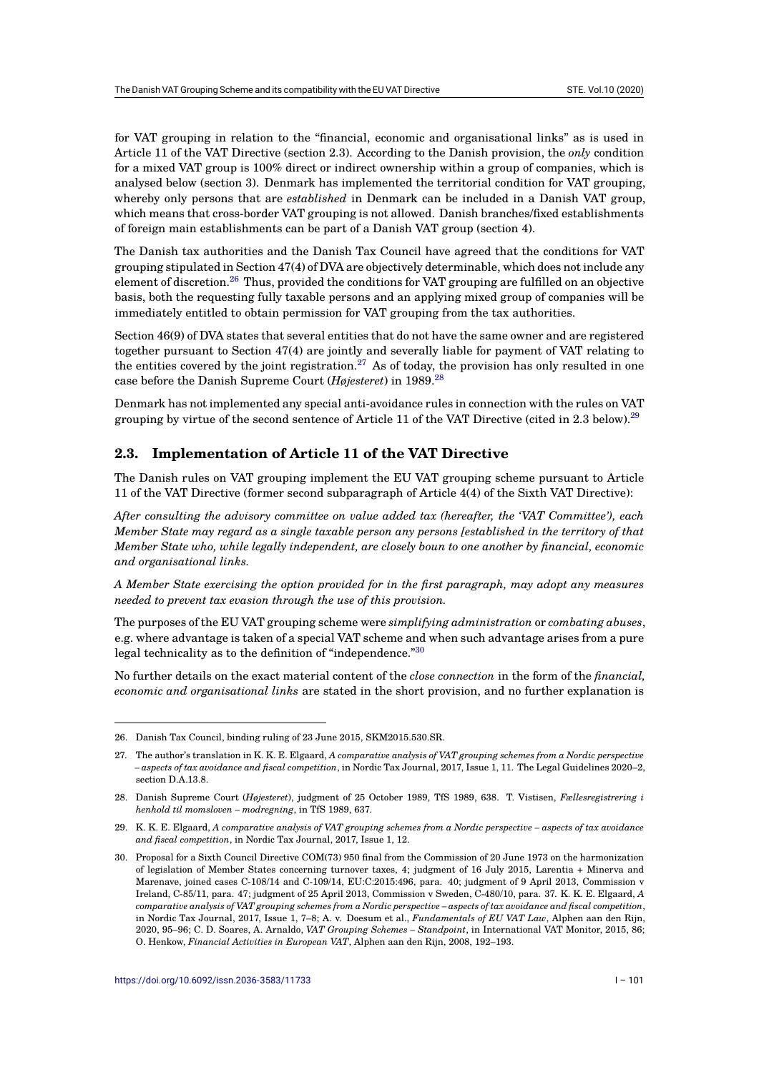for VAT grouping in relation to the "financial, economic and organisational links" as is used in Article 11 of the VAT Directive (section 2.3). According to the Danish provision, the *only* condition for a mixed VAT group is 100% direct or indirect ownership within a group of companies, which is analysed below (section 3). Denmark has implemented the territorial condition for VAT grouping, whereby only persons that are *established* in Denmark can be included in a Danish VAT group, which means that cross-border VAT grouping is not allowed. Danish branches/fixed establishments of foreign main establishments can be part of a Danish VAT group (section 4).

The Danish tax authorities and the Danish Tax Council have agreed that the conditions for VAT grouping stipulated in Section 47(4) of DVA are objectively determinable, which does not include any element of discretion.<sup>26</sup> Thus, provided the conditions for VAT grouping are fulfilled on an objective basis, both the requesting fully taxable persons and an applying mixed group of companies will be immediately entitled to obtain permission for VAT grouping from the tax authorities.

Section 46(9) of DVA [sta](#page-4-0)tes that several entities that do not have the same owner and are registered together pursuant to Section 47(4) are jointly and severally liable for payment of VAT relating to the entities covered by the joint registration.<sup>27</sup> As of today, the provision has only resulted in one case before the Danish Supreme Court (*Højesteret*) in 1989.<sup>28</sup>

Denmark has not implemented any special anti-avoidance rules in connection with the rules on VAT grouping by virtue of the second sentence of [Ar](#page-4-1)ticle 11 of the VAT Directive (cited in 2.3 below).<sup>29</sup>

# **2.3. Implementation of Article 11 of the VAT Directive**

The Danish rules on VAT grouping implement the EU VAT grouping scheme pursuant to Arti[cle](#page-4-2) 11 of the VAT Directive (former second subparagraph of Article 4(4) of the Sixth VAT Directive):

*After consulting the advisory committee on value added tax (hereafter, the 'VAT Committee'), each Member State may regard as a single taxable person any persons [established in the territory of that Member State who, while legally independent, are closely boun to one another by financial, economic and organisational links.*

*A Member State exercising the option provided for in the first paragraph, may adopt any measures needed to prevent tax evasion through the use of this provision.*

The purposes of the EU VAT grouping scheme were *simplifying administration* or *combating abuses*, e.g. where advantage is taken of a special VAT scheme and when such advantage arises from a pure legal technicality as to the definition of "independence."<sup>30</sup>

No further details on the exact material content of the *close connection* in the form of the *financial, economic and organisational links* are stated in the short provision, and no further explanation is

<sup>26.</sup> Danish Tax Council, binding ruling of 23 June 2015, SKM2015.530.SR.

<sup>27.</sup> The author's translation in K. K. E. Elgaard, *A comparative analysis of VAT grouping schemes from a Nordic perspective – aspects of tax avoidance and fiscal competition*, in Nordic Tax Journal, 2017, Issue 1, 11. The Legal Guidelines 2020–2, section D.A.13.8.

<span id="page-4-0"></span><sup>28.</sup> Danish Supreme Court (*Højesteret*), judgment of 25 October 1989, TfS 1989, 638. T. Vistisen, *Fællesregistrering i henhold til momsloven – modregning*, in TfS 1989, 637.

<span id="page-4-1"></span><sup>29.</sup> K. K. E. Elgaard, *A comparative analysis of VAT grouping schemes from a Nordic perspective – aspects of tax avoidance and fiscal competition*, in Nordic Tax Journal, 2017, Issue 1, 12.

<span id="page-4-2"></span><sup>30.</sup> Proposal for a Sixth Council Directive COM(73) 950 final from the Commission of 20 June 1973 on the harmonization of legislation of Member States concerning turnover taxes, 4; judgment of 16 July 2015, Larentia + Minerva and Marenave, joined cases C-108/14 and C-109/14, EU:C:2015:496, para. 40; judgment of 9 April 2013, Commission v Ireland, C-85/11, para. 47; judgment of 25 April 2013, Commission v Sweden, C-480/10, para. 37. K. K. E. Elgaard, *A comparative analysis of VAT grouping schemes from a Nordic perspective – aspects of tax avoidance and fiscal competition*, in Nordic Tax Journal, 2017, Issue 1, 7–8; A. v. Doesum et al., *Fundamentals of EU VAT Law*, Alphen aan den Rijn, 2020, 95–96; C. D. Soares, A. Arnaldo, *VAT Grouping Schemes – Standpoint*, in International VAT Monitor, 2015, 86; O. Henkow, *Financial Activities in European VAT*, Alphen aan den Rijn, 2008, 192–193.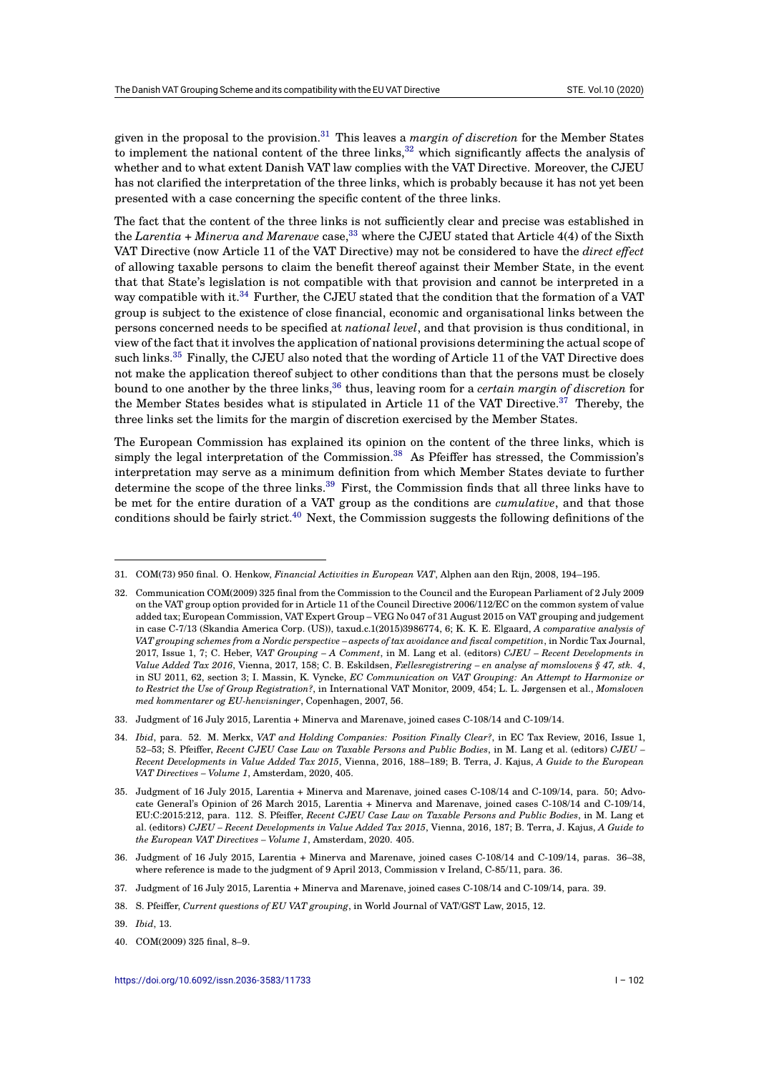given in the proposal to the provision.<sup>31</sup> This leaves a *margin of discretion* for the Member States to implement the national content of the three links,  $32$  which significantly affects the analysis of whether and to what extent Danish VAT law complies with the VAT Directive. Moreover, the CJEU has not clarified the interpretation of the three links, which is probably because it has not yet been presented with a case concerning the [sp](#page-5-0)ecific content of the three links.

The fact that the content of the three links is not su[ffici](#page-5-1)ently clear and precise was established in the *Larentia + Minerva and Marenave* case,<sup>33</sup> where the CJEU stated that Article 4(4) of the Sixth VAT Directive (now Article 11 of the VAT Directive) may not be considered to have the *direct effect* of allowing taxable persons to claim the benefit thereof against their Member State, in the event that that State's legislation is not compatible with that provision and cannot be interpreted in a way compatible with it.<sup>34</sup> Further, the CJE[U](#page-5-2) stated that the condition that the formation of a VAT group is subject to the existence of close financial, economic and organisational links between the persons concerned needs to be specified at *national level*, and that provision is thus conditional, in view of the fact that it involves the application of national provisions determining the actual scope of such links.<sup>35</sup> Finally, t[he](#page-5-3) CJEU also noted that the wording of Article 11 of the VAT Directive does not make the application thereof subject to other conditions than that the persons must be closely bound to one another by the three links,<sup>36</sup> thus, leaving room for a *certain margin of discretion* for the Member States besides what is stipulated in Article 11 of the VAT Directive.<sup>37</sup> Thereby, the three link[s s](#page-5-4)et the limits for the margin of discretion exercised by the Member States.

The European Commission has explain[ed](#page-5-5) its opinion on the content of the three links, which is simply t[he](#page-5-6) legal interpretation of the Commission.<sup>38</sup> As Pfeiffer has stressed, the Commission's interpretation may serve as a minimum definition from which Member States deviate to further determine the scope of the three links.<sup>39</sup> First, the Commission finds that all three links have to be met for the entire duration of a VAT group as the conditions are *cumulative*, and that those conditions should be fairly strict.<sup>40</sup> Next, the Com[mis](#page-5-7)sion suggests the following definitions of the

38. S. Pfeiffer, *Current questions of EU VAT grouping*, in World Journal of VAT/GST Law, 2015, 12.

<span id="page-5-8"></span><span id="page-5-7"></span><span id="page-5-6"></span>40. COM(2009) 325 final, 8–9.

<sup>31.</sup> COM(73) 950 final. O. Henkow, *Fin[anc](#page-5-8)ial Activities in European VAT*, Alphen aan den Rijn, 2008, 194–195.

<span id="page-5-1"></span><span id="page-5-0"></span><sup>32.</sup> Communication COM(2009) 325 final from the Commission to the Council and the European Parliament of 2 July 2009 on the VAT group option provided for in Article 11 of the Council Directive 2006/112/EC on the common system of value added tax; European Commission, VAT Expert Group – VEG No 047 of 31 August 2015 on VAT grouping and judgement in case C-7/13 (Skandia America Corp. (US)), taxud.c.1(2015)3986774, 6; K. K. E. Elgaard, *A comparative analysis of VAT grouping schemes from a Nordic perspective – aspects of tax avoidance and fiscal competition*, in Nordic Tax Journal, 2017, Issue 1, 7; C. Heber, *VAT Grouping – A Comment*, in M. Lang et al. (editors) *CJEU – Recent Developments in Value Added Tax 2016*, Vienna, 2017, 158; C. B. Eskildsen, *Fællesregistrering – en analyse af momslovens § 47, stk. 4*, in SU 2011, 62, section 3; I. Massin, K. Vyncke, *EC Communication on VAT Grouping: An Attempt to Harmonize or to Restrict the Use of Group Registration?*, in International VAT Monitor, 2009, 454; L. L. Jørgensen et al., *Momsloven med kommentarer og EU-henvisninger*, Copenhagen, 2007, 56.

<sup>33.</sup> Judgment of 16 July 2015, Larentia + Minerva and Marenave, joined cases C-108/14 and C-109/14.

<sup>34.</sup> *Ibid*, para. 52. M. Merkx, *VAT and Holding Companies: Position Finally Clear?*, in EC Tax Review, 2016, Issue 1, 52–53; S. Pfeiffer, *Recent CJEU Case Law on Taxable Persons and Public Bodies*, in M. Lang et al. (editors) *CJEU – Recent Developments in Value Added Tax 2015*, Vienna, 2016, 188–189; B. Terra, J. Kajus, *A Guide to the European VAT Directives – Volume 1*, Amsterdam, 2020, 405.

<span id="page-5-3"></span><span id="page-5-2"></span><sup>35.</sup> Judgment of 16 July 2015, Larentia + Minerva and Marenave, joined cases C-108/14 and C-109/14, para. 50; Advocate General's Opinion of 26 March 2015, Larentia + Minerva and Marenave, joined cases C-108/14 and C-109/14, EU:C:2015:212, para. 112. S. Pfeiffer, *Recent CJEU Case Law on Taxable Persons and Public Bodies*, in M. Lang et al. (editors) *CJEU – Recent Developments in Value Added Tax 2015*, Vienna, 2016, 187; B. Terra, J. Kajus, *A Guide to the European VAT Directives – Volume 1*, Amsterdam, 2020. 405.

<span id="page-5-4"></span><sup>36.</sup> Judgment of 16 July 2015, Larentia + Minerva and Marenave, joined cases C-108/14 and C-109/14, paras. 36–38, where reference is made to the judgment of 9 April 2013, Commission v Ireland, C-85/11, para. 36.

<sup>37.</sup> Judgment of 16 July 2015, Larentia + Minerva and Marenave, joined cases C-108/14 and C-109/14, para. 39.

<span id="page-5-5"></span><sup>39.</sup> *Ibid*, 13.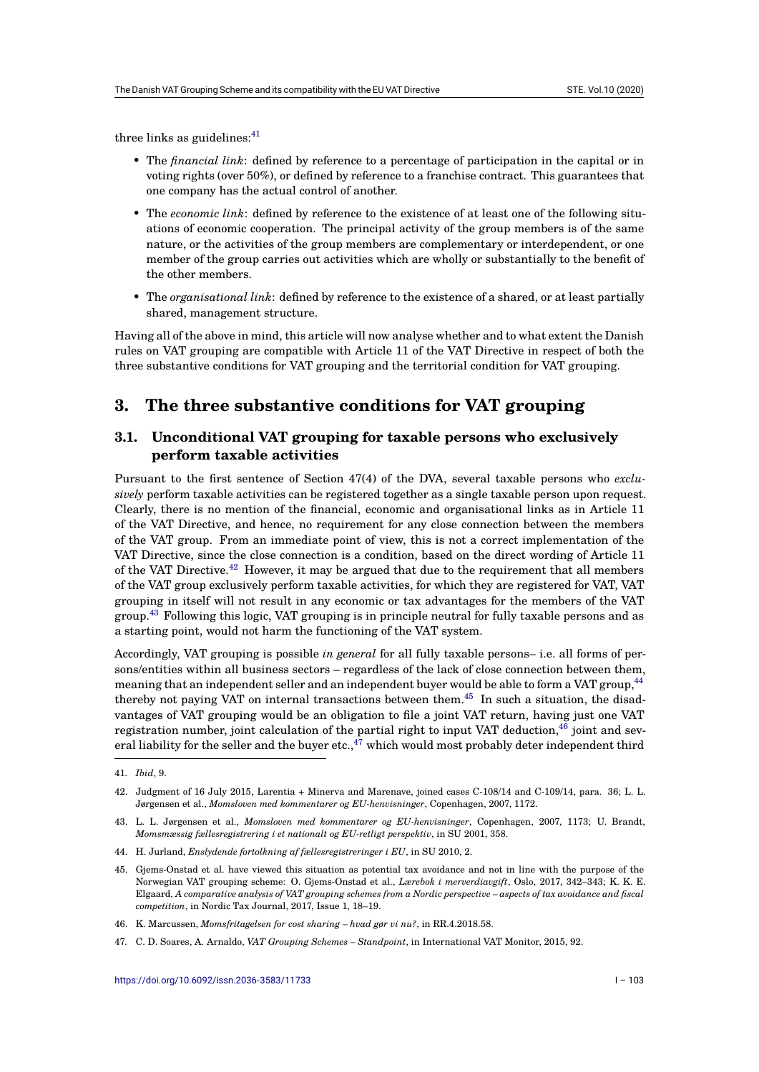three links as guidelines: $41$ 

- The *financial link*: defined by reference to a percentage of participation in the capital or in voting rights (over 50%), or defined by reference to a franchise contract. This guarantees that one company has t[he](#page-6-0) actual control of another.
- The *economic link*: defined by reference to the existence of at least one of the following situations of economic cooperation. The principal activity of the group members is of the same nature, or the activities of the group members are complementary or interdependent, or one member of the group carries out activities which are wholly or substantially to the benefit of the other members.
- The *organisational link*: defined by reference to the existence of a shared, or at least partially shared, management structure.

Having all of the above in mind, this article will now analyse whether and to what extent the Danish rules on VAT grouping are compatible with Article 11 of the VAT Directive in respect of both the three substantive conditions for VAT grouping and the territorial condition for VAT grouping.

# **3. The three substantive conditions for VAT grouping**

# **3.1. Unconditional VAT grouping for taxable persons who exclusively perform taxable activities**

Pursuant to the first sentence of Section 47(4) of the DVA, several taxable persons who *exclusively* perform taxable activities can be registered together as a single taxable person upon request. Clearly, there is no mention of the financial, economic and organisational links as in Article 11 of the VAT Directive, and hence, no requirement for any close connection between the members of the VAT group. From an immediate point of view, this is not a correct implementation of the VAT Directive, since the close connection is a condition, based on the direct wording of Article 11 of the VAT Directive.<sup>42</sup> However, it may be argued that due to the requirement that all members of the VAT group exclusively perform taxable activities, for which they are registered for VAT, VAT grouping in itself will not result in any economic or tax advantages for the members of the VAT group.<sup>43</sup> Following this logic, VAT grouping is in principle neutral for fully taxable persons and as a starting point, wou[ld](#page-6-1) not harm the functioning of the VAT system.

Accordingly, VAT grouping is possible *in general* for all fully taxable persons– i.e. all forms of persons/e[nt](#page-6-2)ities within all business sectors – regardless of the lack of close connection between them, meaning that an independent seller and an independent buyer would be able to form a VAT group,<sup>44</sup> thereby not paying VAT on internal transactions between them.<sup>45</sup> In such a situation, the disadvantages of VAT grouping would be an obligation to file a joint VAT return, having just one VAT registration number, joint calculation of the partial right to input VAT deduction,  $46$  joint and several liability for the seller and the buyer etc., $47$  which would most probably deter independent thi[rd](#page-6-3)

<sup>41.</sup> *Ibid*, 9.

<sup>42.</sup> Judgment of 16 July 2015, Larentia + Minerva and Marenave, joined cases C-108/14 and C-10[9/14](#page-6-4), para. 36; L. L. Jørgensen et al., *Momsloven med kommentarer og [EU](#page-6-5)-henvisninger*, Copenhagen, 2007, 1172.

<span id="page-6-0"></span><sup>43.</sup> L. L. Jørgensen et al., *Momsloven med kommentarer og EU-henvisninger*, Copenhagen, 2007, 1173; U. Brandt, *Momsmæssig fællesregistrering i et nationalt og EU-retligt perspektiv*, in SU 2001, 358.

<span id="page-6-1"></span><sup>44.</sup> H. Jurland, *Enslydende fortolkning af fællesregistreringer i EU*, in SU 2010, 2.

<span id="page-6-2"></span><sup>45.</sup> Gjems-Onstad et al. have viewed this situation as potential tax avoidance and not in line with the purpose of the Norwegian VAT grouping scheme: O. Gjems-Onstad et al., *Lærebok i merverdiavgift*, Oslo, 2017, 342–343; K. K. E. Elgaard, *A comparative analysis of VAT grouping schemes from a Nordic perspective – aspects of tax avoidance and fiscal competition*, in Nordic Tax Journal, 2017, Issue 1, 18–19.

<span id="page-6-3"></span><sup>46.</sup> K. Marcussen, *Momsfritagelsen for cost sharing – hvad gør vi nu?*, in RR.4.2018.58.

<span id="page-6-5"></span><span id="page-6-4"></span><sup>47.</sup> C. D. Soares, A. Arnaldo, *VAT Grouping Schemes – Standpoint*, in International VAT Monitor, 2015, 92.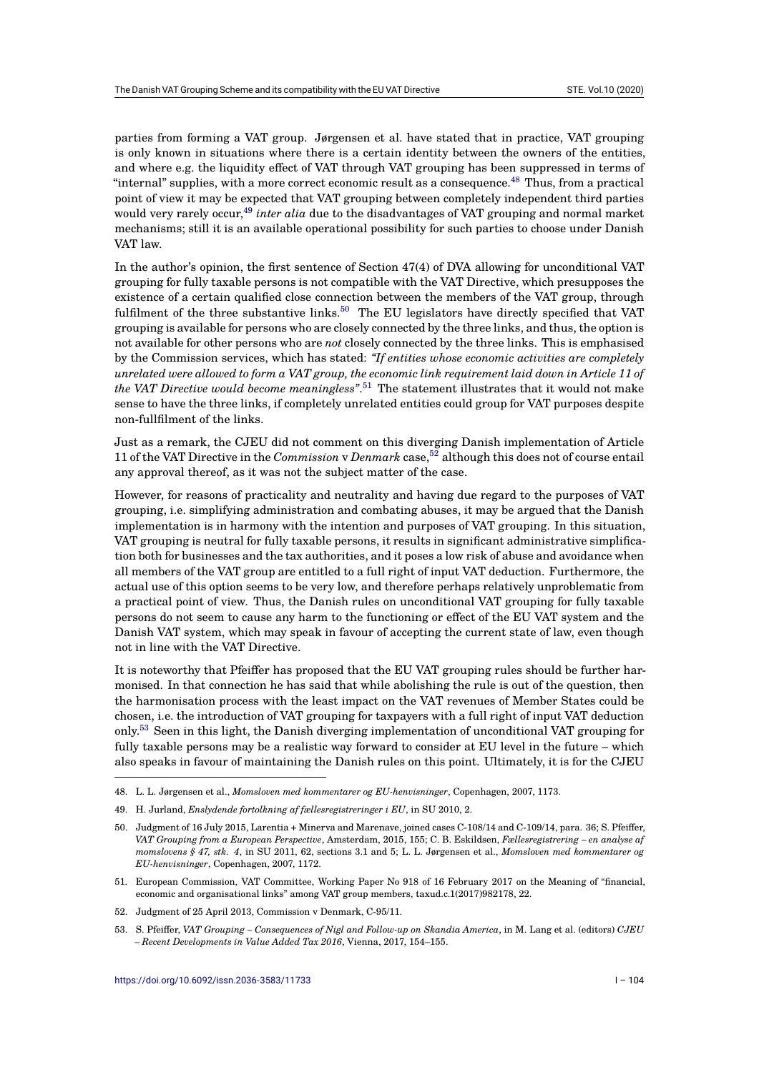parties from forming a VAT group. Jørgensen et al. have stated that in practice, VAT grouping is only known in situations where there is a certain identity between the owners of the entities, and where e.g. the liquidity effect of VAT through VAT grouping has been suppressed in terms of "internal" supplies, with a more correct economic result as a consequence.<sup>48</sup> Thus, from a practical point of view it may be expected that VAT grouping between completely independent third parties would very rarely occur,<sup>49</sup> *inter alia* due to the disadvantages of VAT grouping and normal market mechanisms; still it is an available operational possibility for such parties to choose under Danish VAT law.

In the author's opinion, [th](#page-7-0)e first sentence of Section 47(4) of DVA allowing for unconditional VAT grouping for fully taxable persons is not compatible with the VAT Directive, which presupposes the existence of a certain qualified close connection between the members of the VAT group, through fulfilment of the three substantive links.<sup>50</sup> The EU legislators have directly specified that VAT grouping is available for persons who are closely connected by the three links, and thus, the option is not available for other persons who are *not* closely connected by the three links. This is emphasised by the Commission services, which has stated: *"If entities whose economic activities are completely unrelated were allowed to form a VAT grou[p,](#page-7-1) the economic link requirement laid down in Article 11 of the VAT Directive would become meaningless"*. <sup>51</sup> The statement illustrates that it would not make sense to have the three links, if completely unrelated entities could group for VAT purposes despite non-fullfilment of the links.

Just as a remark, the CJEU did not comment [on](#page-7-2) this diverging Danish implementation of Article 11 of the VAT Directive in the *Commission* v *Denmark* case,<sup>52</sup> although this does not of course entail any approval thereof, as it was not the subject matter of the case.

However, for reasons of practicality and neutrality and having due regard to the purposes of VAT grouping, i.e. simplifying administration and combating a[bu](#page-7-3)ses, it may be argued that the Danish implementation is in harmony with the intention and purposes of VAT grouping. In this situation, VAT grouping is neutral for fully taxable persons, it results in significant administrative simplification both for businesses and the tax authorities, and it poses a low risk of abuse and avoidance when all members of the VAT group are entitled to a full right of input VAT deduction. Furthermore, the actual use of this option seems to be very low, and therefore perhaps relatively unproblematic from a practical point of view. Thus, the Danish rules on unconditional VAT grouping for fully taxable persons do not seem to cause any harm to the functioning or effect of the EU VAT system and the Danish VAT system, which may speak in favour of accepting the current state of law, even though not in line with the VAT Directive.

It is noteworthy that Pfeiffer has proposed that the EU VAT grouping rules should be further harmonised. In that connection he has said that while abolishing the rule is out of the question, then the harmonisation process with the least impact on the VAT revenues of Member States could be chosen, i.e. the introduction of VAT grouping for taxpayers with a full right of input VAT deduction only.<sup>53</sup> Seen in this light, the Danish diverging implementation of unconditional VAT grouping for fully taxable persons may be a realistic way forward to consider at EU level in the future – which also speaks in favour of maintaining the Danish rules on this point. Ultimately, it is for the CJEU

- <span id="page-7-1"></span><span id="page-7-0"></span>51. European Commission, VAT Committee, Working Paper No 918 of 16 February 2017 on the Meaning of "financial, economic and organisational links" among VAT group members, taxud.c.1(2017)982178, 22.
- 52. Judgment of 25 April 2013, Commission v Denmark, C-95/11.
- <span id="page-7-4"></span><span id="page-7-3"></span><span id="page-7-2"></span>53. S. Pfeiffer, *VAT Grouping – Consequences of Nigl and Follow-up on Skandia America*, in M. Lang et al. (editors) *CJEU – Recent Developments in Value Added Tax 2016*, Vienna, 2017, 154–155.

<sup>48.</sup> [L. L](#page-7-4). Jørgensen et al., *Momsloven med kommentarer og EU-henvisninger*, Copenhagen, 2007, 1173.

<sup>49.</sup> H. Jurland, *Enslydende fortolkning af fællesregistreringer i EU*, in SU 2010, 2.

<sup>50.</sup> Judgment of 16 July 2015, Larentia + Minerva and Marenave, joined cases C-108/14 and C-109/14, para. 36; S. Pfeiffer, *VAT Grouping from a European Perspective*, Amsterdam, 2015, 155; C. B. Eskildsen, *Fællesregistrering – en analyse af momslovens § 47, stk. 4*, in SU 2011, 62, sections 3.1 and 5; L. L. Jørgensen et al., *Momsloven med kommentarer og EU-henvisninger*, Copenhagen, 2007, 1172.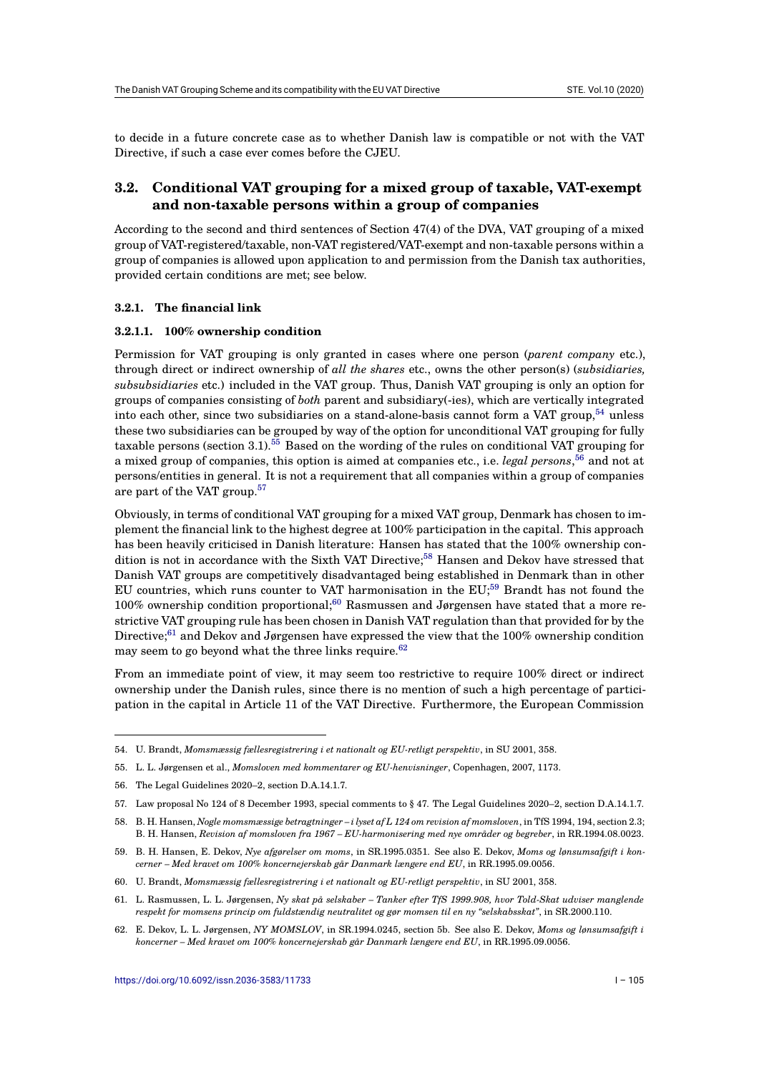to decide in a future concrete case as to whether Danish law is compatible or not with the VAT Directive, if such a case ever comes before the CJEU.

# **3.2. Conditional VAT grouping for a mixed group of taxable, VAT-exempt and non-taxable persons within a group of companies**

According to the second and third sentences of Section 47(4) of the DVA, VAT grouping of a mixed group of VAT-registered/taxable, non-VAT registered/VAT-exempt and non-taxable persons within a group of companies is allowed upon application to and permission from the Danish tax authorities, provided certain conditions are met; see below.

#### **3.2.1. The financial link**

#### **3.2.1.1. 100% ownership condition**

Permission for VAT grouping is only granted in cases where one person (*parent company* etc.), through direct or indirect ownership of *all the shares* etc., owns the other person(s) (*subsidiaries, subsubsidiaries* etc.) included in the VAT group. Thus, Danish VAT grouping is only an option for groups of companies consisting of *both* parent and subsidiary(-ies), which are vertically integrated into each other, since two subsidiaries on a stand-alone-basis cannot form a VAT group, $54$  unless these two subsidiaries can be grouped by way of the option for unconditional VAT grouping for fully taxable persons (section 3.1).<sup>55</sup> Based on the wording of the rules on conditional VAT grouping for a mixed group of companies, this option is aimed at companies etc., i.e. *legal persons*, <sup>56</sup> and not at persons/entities in general. It is not a requirement that all companies within a group of c[om](#page-8-0)panies are part of the VAT group.<sup>57</sup>

Obviously, in terms of conditi[on](#page-8-1)al VAT grouping for a mixed VAT group, Denmark has [ch](#page-8-2)osen to implement the financial link to the highest degree at 100% participation in the capital. This approach has been heavily criticise[d in](#page-8-3) Danish literature: Hansen has stated that the 100% ownership condition is not in accordance with the Sixth VAT Directive;<sup>58</sup> Hansen and Dekov have stressed that Danish VAT groups are competitively disadvantaged being established in Denmark than in other EU countries, which runs counter to VAT harmonisation in the EU;<sup>59</sup> Brandt has not found the 100% ownership condition proportional;<sup>60</sup> Rasmussen and Jørgensen have stated that a more restrictive VAT grouping rule has been chosen in Danish VA[T](#page-8-4) regulation than that provided for by the Directive;<sup>61</sup> and Dekov and Jørgensen have expressed the view that the 100% ownership condition may seem to go beyond what the three links require.<sup>62</sup>

From an immediate point of view, it m[ay](#page-8-5) seem too restrictive to require 100% direct or indirect ownershi[p u](#page-8-6)nder the Danish rules, since there is no mention of such a high percentage of participation in the capital in Article 11 of the VAT Direct[ive](#page-8-7). Furthermore, the European Commission

<sup>54.</sup> U. Brandt, *Momsmæssig fællesregistrering i et nationalt og EU-retligt perspektiv*, in SU 2001, 358.

<sup>55.</sup> L. L. Jørgensen et al., *Momsloven med kommentarer og EU-henvisninger*, Copenhagen, 2007, 1173.

<sup>56.</sup> The Legal Guidelines 2020–2, section D.A.14.1.7.

<span id="page-8-0"></span><sup>57.</sup> Law proposal No 124 of 8 December 1993, special comments to § 47. The Legal Guidelines 2020–2, section D.A.14.1.7.

<span id="page-8-1"></span><sup>58.</sup> B. H. Hansen, *Nogle momsmæssige betragtninger – i lyset af L 124 om revision af momsloven*, in TfS 1994, 194, section 2.3; B. H. Hansen, *Revision af momsloven fra 1967 – EU-harmonisering med nye områder og begreber*, in RR.1994.08.0023.

<span id="page-8-3"></span><span id="page-8-2"></span><sup>59.</sup> B. H. Hansen, E. Dekov, *Nye afgørelser om moms*, in SR.1995.0351. See also E. Dekov, *Moms og lønsumsafgift i koncerner – Med kravet om 100% koncernejerskab går Danmark længere end EU*, in RR.1995.09.0056.

<span id="page-8-4"></span><sup>60.</sup> U. Brandt, *Momsmæssig fællesregistrering i et nationalt og EU-retligt perspektiv*, in SU 2001, 358.

<sup>61.</sup> L. Rasmussen, L. L. Jørgensen, *Ny skat på selskaber – Tanker efter TfS 1999.908, hvor Told-Skat udviser manglende respekt for momsens princip om fuldstændig neutralitet og gør momsen til en ny "selskabsskat"*, in SR.2000.110.

<span id="page-8-7"></span><span id="page-8-6"></span><span id="page-8-5"></span><sup>62.</sup> E. Dekov, L. L. Jørgensen, *NY MOMSLOV*, in SR.1994.0245, section 5b. See also E. Dekov, *Moms og lønsumsafgift i koncerner – Med kravet om 100% koncernejerskab går Danmark længere end EU*, in RR.1995.09.0056.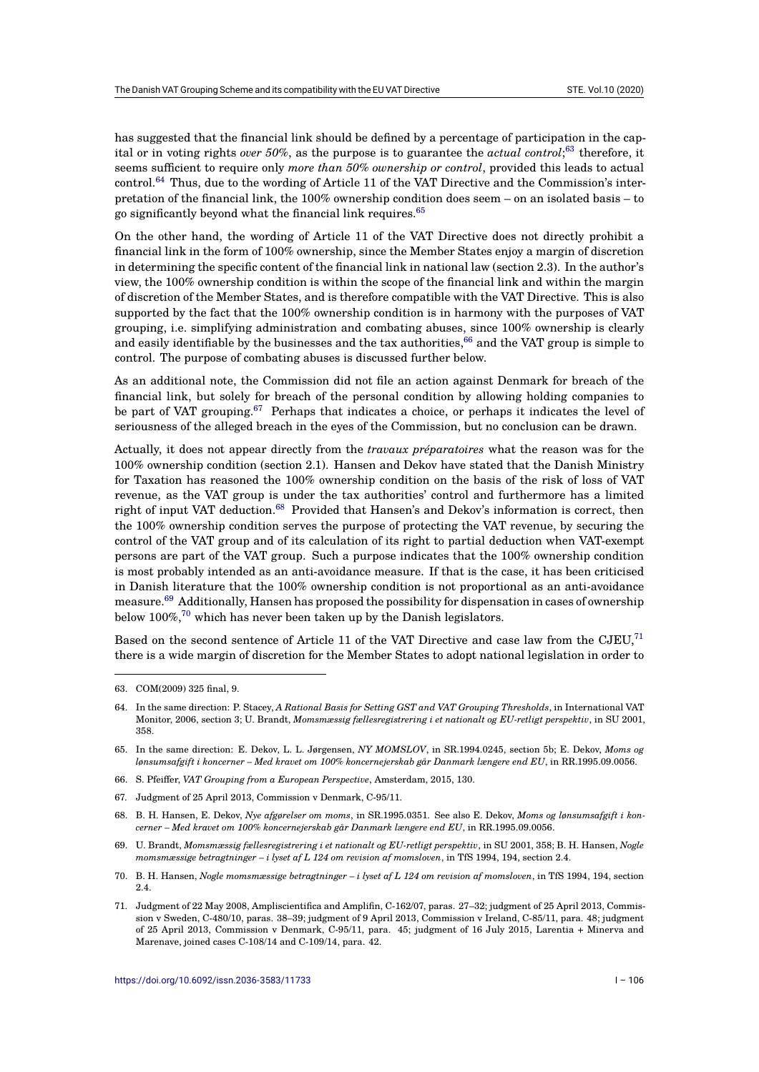has suggested that the financial link should be defined by a percentage of participation in the capital or in voting rights *over 50%*, as the purpose is to guarantee the *actual control*; <sup>63</sup> therefore, it seems sufficient to require only *more than 50% ownership or control*, provided this leads to actual control.<sup>64</sup> Thus, due to the wording of Article 11 of the VAT Directive and the Commission's interpretation of the financial link, the 100% ownership condition does seem – on an isolated basis – to go significantly beyond what the financial link requires.<sup>65</sup>

On the [ot](#page-9-0)her hand, the wording of Article 11 of the VAT Directive does not directly prohibit a financial link in the form of 100% ownership, since the Member States enjoy a margin of discretion in determining the specific content of the financial link i[n n](#page-9-1)ational law (section 2.3). In the author's view, the 100% ownership condition is within the scope of the financial link and within the margin of discretion of the Member States, and is therefore compatible with the VAT Directive. This is also supported by the fact that the 100% ownership condition is in harmony with the purposes of VAT grouping, i.e. simplifying administration and combating abuses, since 100% ownership is clearly and easily identifiable by the businesses and the tax authorities, $66$  and the VAT group is simple to control. The purpose of combating abuses is discussed further below.

As an additional note, the Commission did not file an action against Denmark for breach of the financial link, but solely for breach of the personal condition [by](#page-9-2) allowing holding companies to be part of VAT grouping.<sup>67</sup> Perhaps that indicates a choice, or perhaps it indicates the level of seriousness of the alleged breach in the eyes of the Commission, but no conclusion can be drawn.

Actually, it does not appear directly from the *travaux préparatoires* what the reason was for the 100% ownership conditio[n \(](#page-9-3)section 2.1). Hansen and Dekov have stated that the Danish Ministry for Taxation has reasoned the 100% ownership condition on the basis of the risk of loss of VAT revenue, as the VAT group is under the tax authorities' control and furthermore has a limited right of input VAT deduction.<sup>68</sup> Provided that Hansen's and Dekov's information is correct, then the 100% ownership condition serves the purpose of protecting the VAT revenue, by securing the control of the VAT group and of its calculation of its right to partial deduction when VAT-exempt persons are part of the VAT group. Such a purpose indicates that the 100% ownership condition is most probably intended as [an](#page-9-4) anti-avoidance measure. If that is the case, it has been criticised in Danish literature that the 100% ownership condition is not proportional as an anti-avoidance measure.<sup>69</sup> Additionally, Hansen has proposed the possibility for dispensation in cases of ownership below 100%, $^{70}$  which has never been taken up by the Danish legislators.

Based on the second sentence of Article 11 of the VAT Directive and case law from the CJEU,<sup>71</sup> there is [a w](#page-9-5)ide margin of discretion for the Member States to adopt national legislation in order to

67. Judgment of 25 April 2013, Commission v Denmark, C-95/11.

<sup>63.</sup> COM(2009) 325 final, 9.

<sup>64.</sup> In the same direction: P. Stacey, *A Rational Basis for Setting GST and VAT Grouping Thresholds*, in International V[AT](#page-9-6) Monitor, 2006, section 3; U. Brandt, *Momsmæssig fællesregistrering i et nationalt og EU-retligt perspektiv*, in SU 2001, 358.

<sup>65.</sup> In the same direction: E. Dekov, L. L. Jørgensen, *NY MOMSLOV*, in SR.1994.0245, section 5b; E. Dekov, *Moms og lønsumsafgift i koncerner – Med kravet om 100% koncernejerskab går Danmark længere end EU*, in RR.1995.09.0056.

<span id="page-9-0"></span><sup>66.</sup> S. Pfeiffer, *VAT Grouping from a European Perspective*, Amsterdam, 2015, 130.

<span id="page-9-1"></span><sup>68.</sup> B. H. Hansen, E. Dekov, *Nye afgørelser om moms*, in SR.1995.0351. See also E. Dekov, *Moms og lønsumsafgift i koncerner – Med kravet om 100% koncernejerskab går Danmark længere end EU*, in RR.1995.09.0056.

<span id="page-9-3"></span><span id="page-9-2"></span><sup>69.</sup> U. Brandt, *Momsmæssig fællesregistrering i et nationalt og EU-retligt perspektiv*, in SU 2001, 358; B. H. Hansen, *Nogle momsmæssige betragtninger – i lyset af L 124 om revision af momsloven*, in TfS 1994, 194, section 2.4.

<span id="page-9-4"></span><sup>70.</sup> B. H. Hansen, *Nogle momsmæssige betragtninger – i lyset af L 124 om revision af momsloven*, in TfS 1994, 194, section 2.4.

<span id="page-9-6"></span><span id="page-9-5"></span><sup>71.</sup> Judgment of 22 May 2008, Ampliscientifica and Amplifin, C-162/07, paras. 27–32; judgment of 25 April 2013, Commission v Sweden, C-480/10, paras. 38–39; judgment of 9 April 2013, Commission v Ireland, C-85/11, para. 48; judgment of 25 April 2013, Commission v Denmark, C-95/11, para. 45; judgment of 16 July 2015, Larentia + Minerva and Marenave, joined cases C-108/14 and C-109/14, para. 42.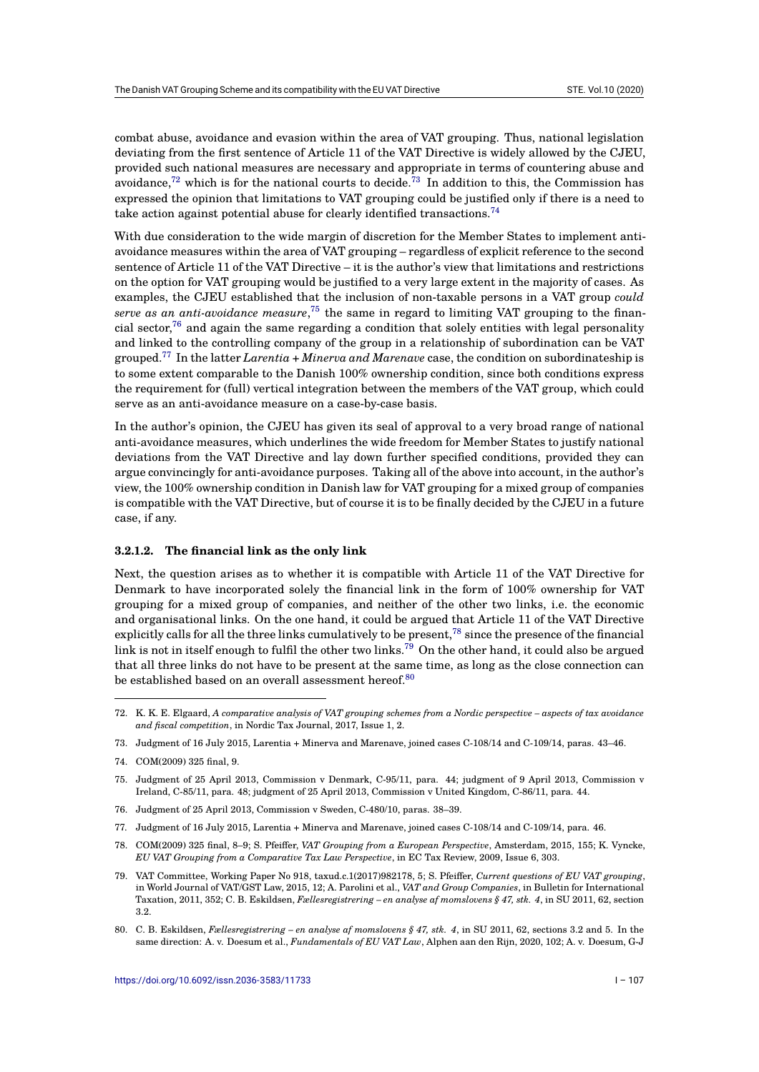combat abuse, avoidance and evasion within the area of VAT grouping. Thus, national legislation deviating from the first sentence of Article 11 of the VAT Directive is widely allowed by the CJEU, provided such national measures are necessary and appropriate in terms of countering abuse and avoidance,<sup>72</sup> which is for the national courts to decide.<sup>73</sup> In addition to this, the Commission has expressed the opinion that limitations to VAT grouping could be justified only if there is a need to take action against potential abuse for clearly identified transactions.<sup>74</sup>

With due [con](#page-10-0)sideration to the wide margin of discretio[n f](#page-10-1)or the Member States to implement antiavoidance measures within the area of VAT grouping – regardless of explicit reference to the second sentence of Article 11 of the VAT Directive – it is the author's view tha[t l](#page-10-2)imitations and restrictions on the option for VAT grouping would be justified to a very large extent in the majority of cases. As examples, the CJEU established that the inclusion of non-taxable persons in a VAT group *could serve as an anti-avoidance measure*, <sup>75</sup> the same in regard to limiting VAT grouping to the financial sector,<sup>76</sup> and again the same regarding a condition that solely entities with legal personality and linked to the controlling company of the group in a relationship of subordination can be VAT grouped.<sup>77</sup> In the latter *Larentia + Minerva and Marenave* case, the condition on subordinateship is to some extent comparable to the D[ani](#page-10-3)sh 100% ownership condition, since both conditions express the requir[em](#page-10-4)ent for (full) vertical integration between the members of the VAT group, which could serve as an anti-avoidance measure on a case-by-case basis.

In the a[uth](#page-10-5)or's opinion, the CJEU has given its seal of approval to a very broad range of national anti-avoidance measures, which underlines the wide freedom for Member States to justify national deviations from the VAT Directive and lay down further specified conditions, provided they can argue convincingly for anti-avoidance purposes. Taking all of the above into account, in the author's view, the 100% ownership condition in Danish law for VAT grouping for a mixed group of companies is compatible with the VAT Directive, but of course it is to be finally decided by the CJEU in a future case, if any.

#### **3.2.1.2. The financial link as the only link**

Next, the question arises as to whether it is compatible with Article 11 of the VAT Directive for Denmark to have incorporated solely the financial link in the form of 100% ownership for VAT grouping for a mixed group of companies, and neither of the other two links, i.e. the economic and organisational links. On the one hand, it could be argued that Article 11 of the VAT Directive explicitly calls for all the three links cumulatively to be present,  $78$  since the presence of the financial link is not in itself enough to fulfil the other two links.<sup>79</sup> On the other hand, it could also be argued that all three links do not have to be present at the same time, as long as the close connection can be established based on an overall assessment hereof. $80$ 

- <span id="page-10-1"></span>76. Judgment of 25 April 2013, Commission v Sweden, C-480/10, paras. 38–39.
- <span id="page-10-2"></span>77. Judgment of 16 July 2015, Larentia + Minerva and Marenave, joined cases C-108/14 and C-109/14, para. 46.
- <span id="page-10-3"></span>78. COM(2009) 325 final, 8–9; S. Pfeiffer, *VAT Grouping from a European Perspective*, Amsterdam, 2015, 155; K. Vyncke, *EU VAT Grouping from a Comparative Tax Law Perspective*, in EC Tax Review, 2009, Issue 6, 303.

<span id="page-10-7"></span><span id="page-10-6"></span>80. C. B. Eskildsen, *Fællesregistrering – en analyse af momslovens § 47, stk. 4*, in SU 2011, 62, sections 3.2 and 5. In the same direction: A. v. Doesum et al., *Fundamentals of EU VAT Law*, Alphen aan den Rijn, 2020, 102; A. v. Doesum, G-J

<sup>72.</sup> K. K. E. Elgaard, *A comparative analysis of VAT grouping sch[eme](#page-10-6)s from a Nordic perspective – aspects of tax avoidance and fiscal competition*, in Nordic Tax Journal, 2017, Issue 1, 2.

<sup>73.</sup> Judgment of 16 July 2015, Larentia + Minerva and Marenave[, jo](#page-10-7)ined cases C-108/14 and C-109/14, paras. 43–46.

<sup>74.</sup> COM(2009) 325 final, 9.

<span id="page-10-0"></span><sup>75.</sup> Judgment of 25 April 2013, Commission v Denmark, C-95/11, para. 44; judgment of 9 April 2013, Commission v Ireland, C-85/11, para. 48; judgment of 25 April 2013, Commission v United Kingdom, C-86/11, para. 44.

<span id="page-10-5"></span><span id="page-10-4"></span><sup>79.</sup> VAT Committee, Working Paper No 918, taxud.c.1(2017)982178, 5; S. Pfeiffer, *Current questions of EU VAT grouping*, in World Journal of VAT/GST Law, 2015, 12; A. Parolini et al., *VAT and Group Companies*, in Bulletin for International Taxation, 2011, 352; C. B. Eskildsen, *Fællesregistrering – en analyse af momslovens § 47, stk. 4*, in SU 2011, 62, section 3.2.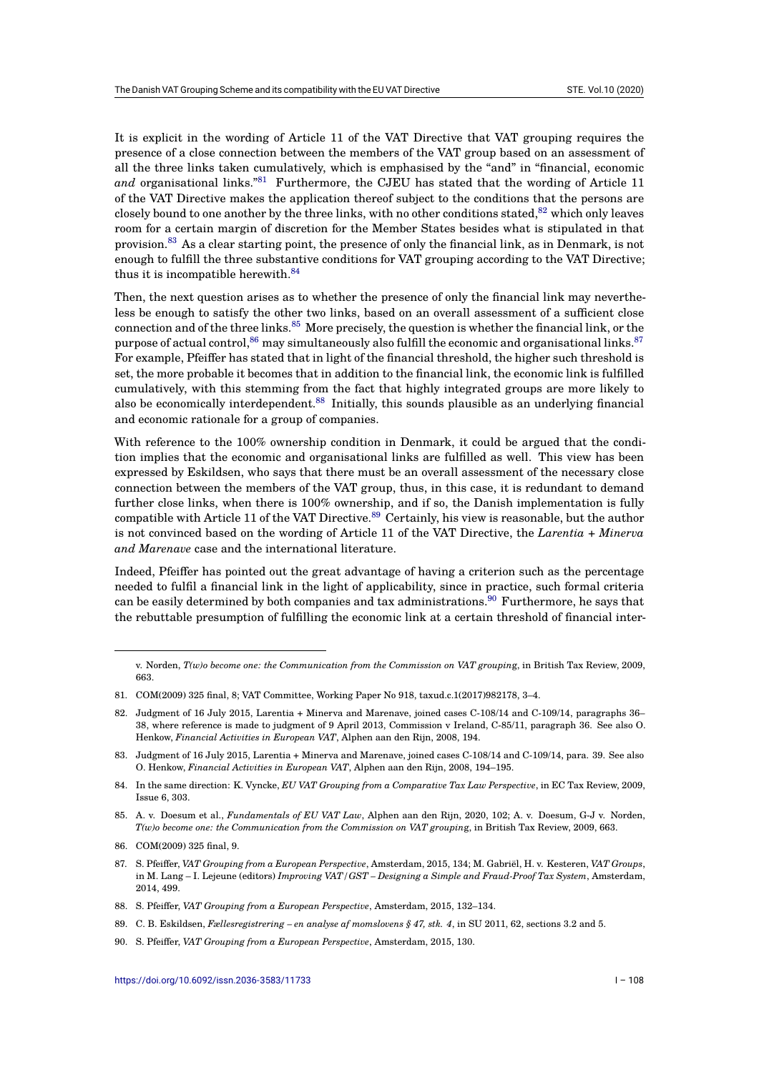It is explicit in the wording of Article 11 of the VAT Directive that VAT grouping requires the presence of a close connection between the members of the VAT group based on an assessment of all the three links taken cumulatively, which is emphasised by the "and" in "financial, economic *and* organisational links."<sup>81</sup> Furthermore, the CJEU has stated that the wording of Article 11 of the VAT Directive makes the application thereof subject to the conditions that the persons are closely bound to one another by the three links, with no other conditions stated,  $82$  which only leaves room for a certain margin of discretion for the Member States besides what is stipulated in that provision.<sup>83</sup> As a clear sta[rti](#page-11-0)ng point, the presence of only the financial link, as in Denmark, is not enough to fulfill the three substantive conditions for VAT grouping according to the VAT Directive; thus it is incompatible herewith.<sup>84</sup>

Then, the [n](#page-11-1)ext question arises as to whether the presence of only the financial link may nevertheless be enough to satisfy the other two links, based on an overall assessment of a sufficient close connection and of the three links.<sup>85</sup> More precisely, the question is whether the financial link, or the purpose of actual control,  $86$  may [sim](#page-11-2)ultaneously also fulfill the economic and organisational links.  $87$ For example, Pfeiffer has stated that in light of the financial threshold, the higher such threshold is set, the more probable it becomes that in addition to the financial link, the economic link is fulfilled cumulatively, with this stemmi[ng](#page-11-3) from the fact that highly integrated groups are more likely to also be economically int[erd](#page-11-4)ependent.<sup>88</sup> Initi[al](#page-11-5)ly, this sounds plausible as an underlying financial and economic rationale for a group of companies.

With reference to the 100% ownership condition in Denmark, it could be argued that the condition implies that the economic and o[rg](#page-11-6)anisational links are fulfilled as well. This view has been expressed by Eskildsen, who says that there must be an overall assessment of the necessary close connection between the members of the VAT group, thus, in this case, it is redundant to demand further close links, when there is 100% ownership, and if so, the Danish implementation is fully compatible with Article 11 of the VAT Directive.<sup>89</sup> Certainly, his view is reasonable, but the author is not convinced based on the wording of Article 11 of the VAT Directive, the *Larentia + Minerva and Marenave* case and the international literature.

Indeed, Pfeiffer has pointed out the great adva[nt](#page-11-7)age of having a criterion such as the percentage needed to fulfil a financial link in the light of applicability, since in practice, such formal criteria can be easily determined by both companies and tax administrations.<sup>90</sup> Furthermore, he says that the rebuttable presumption of fulfilling the economic link at a certain threshold of financial inter-

v. Norden, *T(w)o become one: the Communication from the Commission on VAT gr[ou](#page-11-8)pin*g, in British Tax Review, 2009, 663.

<sup>81.</sup> COM(2009) 325 final, 8; VAT Committee, Working Paper No 918, taxud.c.1(2017)982178, 3–4.

<sup>82.</sup> Judgment of 16 July 2015, Larentia + Minerva and Marenave, joined cases C-108/14 and C-109/14, paragraphs 36– 38, where reference is made to judgment of 9 April 2013, Commission v Ireland, C-85/11, paragraph 36. See also O. Henkow, *Financial Activities in European VAT*, Alphen aan den Rijn, 2008, 194.

<span id="page-11-0"></span><sup>83.</sup> Judgment of 16 July 2015, Larentia + Minerva and Marenave, joined cases C-108/14 and C-109/14, para. 39. See also O. Henkow, *Financial Activities in European VAT*, Alphen aan den Rijn, 2008, 194–195.

<sup>84.</sup> In the same direction: K. Vyncke, *EU VAT Grouping from a Comparative Tax Law Perspective*, in EC Tax Review, 2009, Issue 6, 303.

<span id="page-11-1"></span><sup>85.</sup> A. v. Doesum et al., *Fundamentals of EU VAT Law*, Alphen aan den Rijn, 2020, 102; A. v. Doesum, G-J v. Norden, *T(w)o become one: the Communication from the Commission on VAT groupin*g, in British Tax Review, 2009, 663.

<span id="page-11-2"></span><sup>86.</sup> COM(2009) 325 final, 9.

<span id="page-11-3"></span><sup>87.</sup> S. Pfeiffer, *VAT Grouping from a European Perspective*, Amsterdam, 2015, 134; M. Gabriël, H. v. Kesteren, *VAT Groups*, in M. Lang – I. Lejeune (editors) *Improving VAT/GST – Designing a Simple and Fraud-Proof Tax System*, Amsterdam, 2014, 499.

<span id="page-11-4"></span><sup>88.</sup> S. Pfeiffer, *VAT Grouping from a European Perspective*, Amsterdam, 2015, 132–134.

<span id="page-11-5"></span><sup>89.</sup> C. B. Eskildsen, *Fællesregistrering – en analyse af momslovens § 47, stk. 4*, in SU 2011, 62, sections 3.2 and 5.

<span id="page-11-8"></span><span id="page-11-7"></span><span id="page-11-6"></span><sup>90.</sup> S. Pfeiffer, *VAT Grouping from a European Perspective*, Amsterdam, 2015, 130.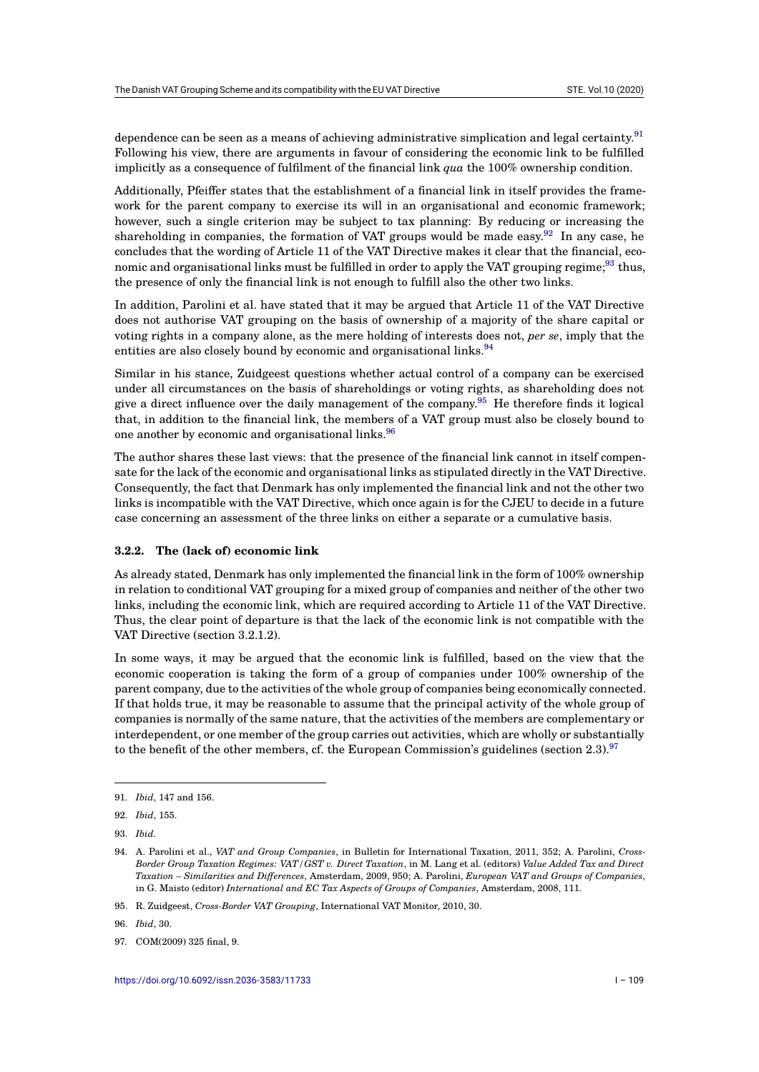dependence can be seen as a means of achieving administrative simplication and legal certainty.<sup>91</sup> Following his view, there are arguments in favour of considering the economic link to be fulfilled implicitly as a consequence of fulfilment of the financial link *qua* the 100% ownership condition.

Additionally, Pfeiffer states that the establishment of a financial link in itself provides the fra[me](#page-12-0)work for the parent company to exercise its will in an organisational and economic framework; however, such a single criterion may be subject to tax planning: By reducing or increasing the shareholding in companies, the formation of VAT groups would be made easy.<sup>92</sup> In any case, he concludes that the wording of Article 11 of the VAT Directive makes it clear that the financial, economic and organisational links must be fulfilled in order to apply the VAT grouping regime;<sup>93</sup> thus, the presence of only the financial link is not enough to fulfill also the other two links.

In addition, Parolini et al. have stated that it may be argued that Article 11 of [th](#page-12-1)e VAT Directive does not authorise VAT grouping on the basis of ownership of a majority of the share ca[pit](#page-12-2)al or voting rights in a company alone, as the mere holding of interests does not, *per se*, imply that the entities are also closely bound by economic and organisational links.<sup>94</sup>

Similar in his stance, Zuidgeest questions whether actual control of a company can be exercised under all circumstances on the basis of shareholdings or voting rights, as shareholding does not give a direct influence over the daily management of the company.<sup>95</sup> He therefore finds it logical that, in addition to the financial link, the members of a VAT group [m](#page-12-3)ust also be closely bound to one another by economic and organisational links.<sup>96</sup>

The author shares these last views: that the presence of the financ[ial](#page-12-4) link cannot in itself compensate for the lack of the economic and organisational links as stipulated directly in the VAT Directive. Consequently, the fact that Denmark has only imp[lem](#page-12-5)ented the financial link and not the other two links is incompatible with the VAT Directive, which once again is for the CJEU to decide in a future case concerning an assessment of the three links on either a separate or a cumulative basis.

#### **3.2.2. The (lack of) economic link**

As already stated, Denmark has only implemented the financial link in the form of 100% ownership in relation to conditional VAT grouping for a mixed group of companies and neither of the other two links, including the economic link, which are required according to Article 11 of the VAT Directive. Thus, the clear point of departure is that the lack of the economic link is not compatible with the VAT Directive (section 3.2.1.2).

In some ways, it may be argued that the economic link is fulfilled, based on the view that the economic cooperation is taking the form of a group of companies under 100% ownership of the parent company, due to the activities of the whole group of companies being economically connected. If that holds true, it may be reasonable to assume that the principal activity of the whole group of companies is normally of the same nature, that the activities of the members are complementary or interdependent, or one member of the group carries out activities, which are wholly or substantially to the benefit of the other members, cf. the European Commission's guidelines (section 2.3).<sup>97</sup>

<sup>91.</sup> *Ibid*, 147 and 156.

<sup>92.</sup> *Ibid*, 155.

<sup>93.</sup> *Ibid*.

<span id="page-12-1"></span><span id="page-12-0"></span><sup>94.</sup> A. Parolini et al., *VAT and Group Companies*, in Bulletin for International Taxation, 2011, 352; A. Parolini, *Cross-Border Group Taxation Regimes: VAT/GST v. Direct Taxation*, in M. Lang et al. (editors) *Value Added Tax and Direct Taxation – Similarities and Differences*, Amsterdam, 2009, 950; A. Parolini, *European VAT and Groups of Companies*, in G. Maisto (editor) *International and EC Tax Aspects of Groups of Companies*, Amsterdam, 2008, 111.

<span id="page-12-3"></span><span id="page-12-2"></span><sup>95.</sup> R. Zuidgeest, *Cross-Border VAT Grouping*, International VAT Monitor, 2010, 30.

<sup>96.</sup> *Ibid*, 30.

<span id="page-12-5"></span><span id="page-12-4"></span><sup>97.</sup> COM(2009) 325 final, 9.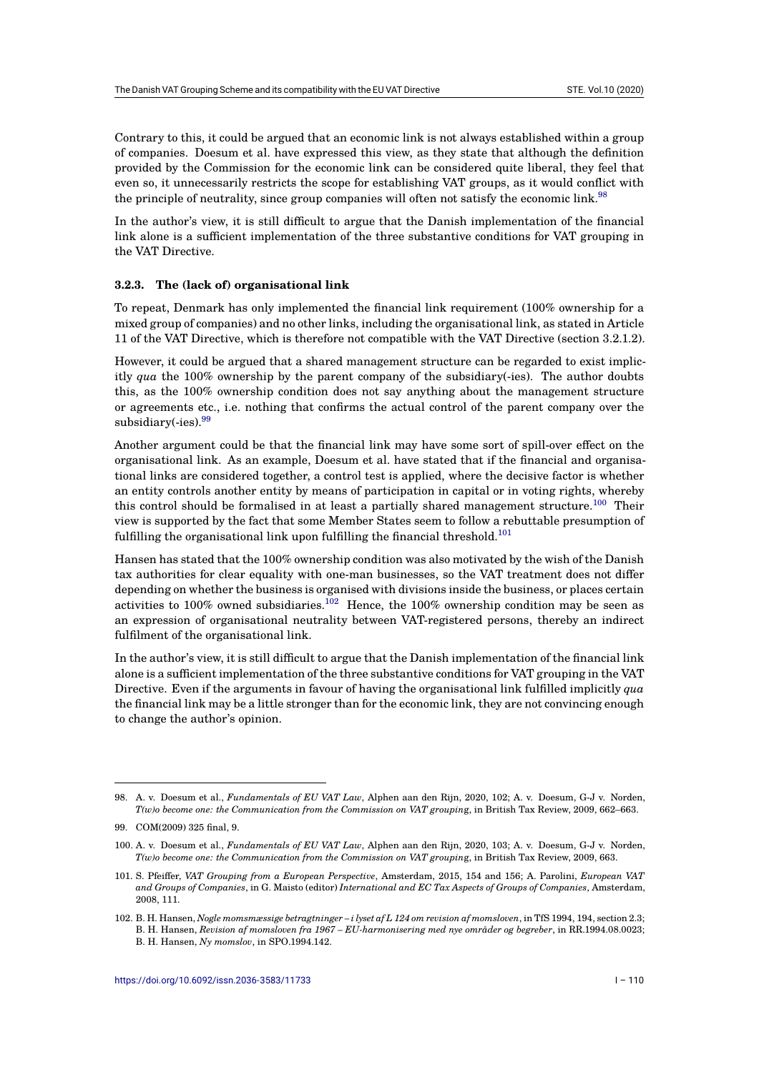Contrary to this, it could be argued that an economic link is not always established within a group of companies. Doesum et al. have expressed this view, as they state that although the definition provided by the Commission for the economic link can be considered quite liberal, they feel that even so, it unnecessarily restricts the scope for establishing VAT groups, as it would conflict with the principle of neutrality, since group companies will often not satisfy the economic link.<sup>98</sup>

In the author's view, it is still difficult to argue that the Danish implementation of the financial link alone is a sufficient implementation of the three substantive conditions for VAT grouping in the VAT Directive.

#### **3.2.3. The (lack of) organisational link**

To repeat, Denmark has only implemented the financial link requirement (100% ownership for a mixed group of companies) and no other links, including the organisational link, as stated in Article 11 of the VAT Directive, which is therefore not compatible with the VAT Directive (section 3.2.1.2).

However, it could be argued that a shared management structure can be regarded to exist implicitly *qua* the 100% ownership by the parent company of the subsidiary(-ies). The author doubts this, as the 100% ownership condition does not say anything about the management structure or agreements etc., i.e. nothing that confirms the actual control of the parent company over the subsidiary $(-i$ es).<sup>99</sup>

Another argument could be that the financial link may have some sort of spill-over effect on the organisational link. As an example, Doesum et al. have stated that if the financial and organisational links are [co](#page-13-0)nsidered together, a control test is applied, where the decisive factor is whether an entity controls another entity by means of participation in capital or in voting rights, whereby this control should be formalised in at least a partially shared management structure.<sup>100</sup> Their view is supported by the fact that some Member States seem to follow a rebuttable presumption of fulfilling the organisational link upon fulfilling the financial threshold.<sup>101</sup>

Hansen has stated that the 100% ownership condition was also motivated by the wish of t[he D](#page-13-1)anish tax authorities for clear equality with one-man businesses, so the VAT treatment does not differ depending on whether the business is organised with divisions inside th[e bu](#page-13-2)siness, or places certain activities to 100% owned subsidiaries.<sup>102</sup> Hence, the 100% ownership condition may be seen as an expression of organisational neutrality between VAT-registered persons, thereby an indirect fulfilment of the organisational link.

In the author's view, it is still difficult t[o ar](#page-13-3)gue that the Danish implementation of the financial link alone is a sufficient implementation of the three substantive conditions for VAT grouping in the VAT Directive. Even if the arguments in favour of having the organisational link fulfilled implicitly *qua* the financial link may be a little stronger than for the economic link, they are not convincing enough to change the author's opinion.

<span id="page-13-3"></span><span id="page-13-2"></span><span id="page-13-1"></span>102. B. H. Hansen, *Nogle momsmæssige betragtninger – i lyset af L 124 om revision af momsloven*, in TfS 1994, 194, section 2.3; B. H. Hansen, *Revision af momsloven fra 1967 – EU-harmonisering med nye områder og begreber*, in RR.1994.08.0023; B. H. Hansen, *Ny momslov*, in SPO.1994.142.

<sup>98.</sup> A. v. Doesum et al., *Fundamentals of EU VAT Law*, Alphen aan den Rijn, 2020, 102; A. v. Doesum, G-J v. Norden, *T(w)o become one: the Communication from the Commission on VAT groupin*g, in British Tax Review, 2009, 662–663.

<sup>99.</sup> COM(2009) 325 final, 9.

<sup>100.</sup> A. v. Doesum et al., *Fundamentals of EU VAT Law*, Alphen aan den Rijn, 2020, 103; A. v. Doesum, G-J v. Norden, *T(w)o become one: the Communication from the Commission on VAT groupin*g, in British Tax Review, 2009, 663.

<span id="page-13-0"></span><sup>101.</sup> S. Pfeiffer, *VAT Grouping from a European Perspective*, Amsterdam, 2015, 154 and 156; A. Parolini, *European VAT and Groups of Companies*, in G. Maisto (editor) *International and EC Tax Aspects of Groups of Companies*, Amsterdam, 2008, 111.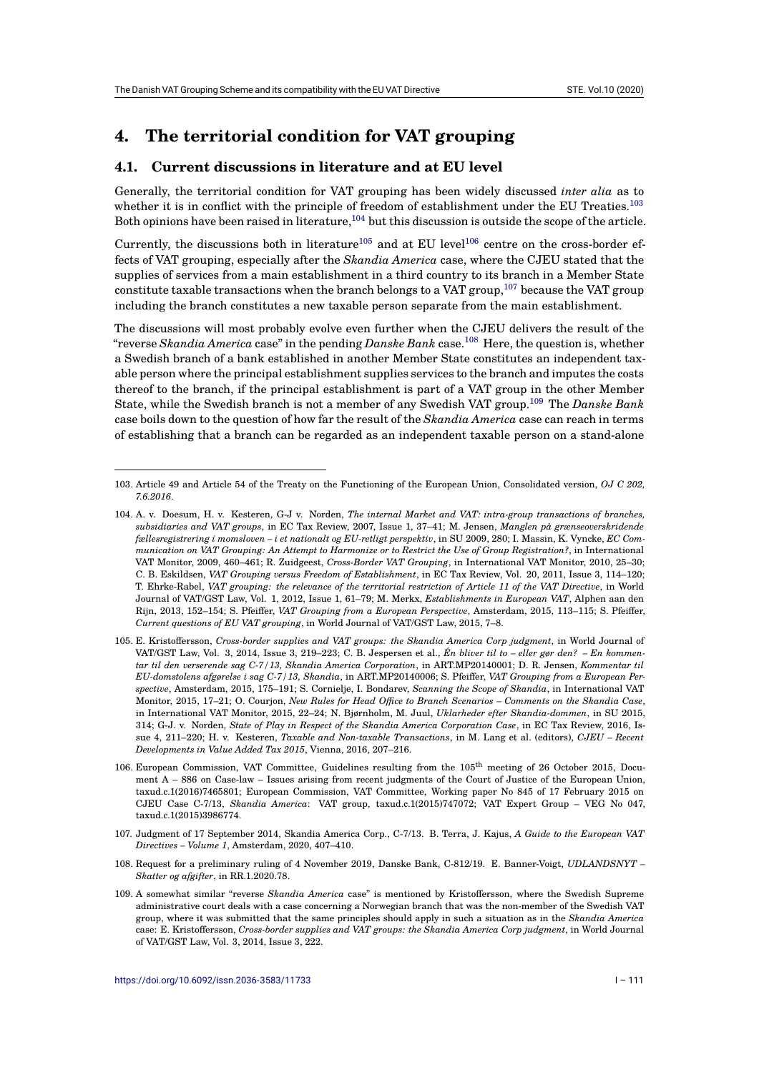# **4. The territorial condition for VAT grouping**

### **4.1. Current discussions in literature and at EU level**

Generally, the territorial condition for VAT grouping has been widely discussed *inter alia* as to whether it is in conflict with the principle of freedom of establishment under the EU Treaties.<sup>103</sup> Both opinions have been raised in literature,  $^{104}$  but this discussion is outside the scope of the article.

Currently, the discussions both in literature<sup>105</sup> and at EU level<sup>106</sup> centre on the cross-border effects of VAT grouping, especially after the *Skandia America* case, where the CJEU stated that [the](#page-14-0) supplies of services from a main establishm[ent](#page-14-1) in a third country to its branch in a Member State constitute taxable transactions when the branch belongs to a VAT group,<sup>107</sup> because the VAT group including the branch constitutes a new taxab[le p](#page-14-2)erson separate f[rom](#page-14-3) the main establishment.

The discussions will most probably evolve even further when the CJEU delivers the result of the "reverse *Skandia America* case" in the pending *Danske Bank* case.<sup>108</sup> He[re, t](#page-14-4)he question is, whether a Swedish branch of a bank established in another Member State constitutes an independent taxable person where the principal establishment supplies services to the branch and imputes the costs thereof to the branch, if the principal establishment is part of a VAT group in the other Member State, while the Swedish branch is not a member of any Swedish [VA](#page-14-5)T group.<sup>109</sup> The *Danske Bank* case boils down to the question of how far the result of the *Skandia America* case can reach in terms of establishing that a branch can be regarded as an independent taxable person on a stand-alone

- <span id="page-14-3"></span>107. Judgment of 17 September 2014, Skandia America Corp., C-7/13. B. Terra, J. Kajus, *A Guide to the European VAT Directives – Volume 1*, Amsterdam, 2020, 407–410.
- 108. Request for a preliminary ruling of 4 November 2019, Danske Bank, C-812/19. E. Banner-Voigt, *UDLANDSNYT – Skatter og afgifter*, in RR.1.2020.78.
- <span id="page-14-5"></span><span id="page-14-4"></span>109. A somewhat similar "reverse *Skandia America* case" is mentioned by Kristoffersson, where the Swedish Supreme administrative court deals with a case concerning a Norwegian branch that was the non-member of the Swedish VAT group, where it was submitted that the same principles should apply in such a situation as in the *Skandia America* case: E. Kristoffersson, *Cross-border supplies and VAT groups: the Skandia America Corp judgment*, in World Journal of VAT/GST Law, Vol. 3, 2014, Issue 3, 222.

<sup>103.</sup> Article 49 and Article 54 of the Treaty on the Functioning of the European Union, Consolidated version, *OJ C 202, 7.6.2016*.

<span id="page-14-1"></span><span id="page-14-0"></span><sup>104.</sup> A. v. Doesum, H. v. Kesteren, G-J v. Norden, *The internal Market and VAT: intra-group transactions of branches, subsidiaries and VAT groups*, in EC Tax Review, 2007, Issue 1, 37–41; M. Jensen, *Manglen på grænseoverskridende fællesregistrering i momsloven – i et nationalt og EU-retligt perspektiv*, in SU 2009, 280; I. Massin, K. Vyncke, *EC Communication on VAT Grouping: An Attempt to Harmonize or to Restrict the Use of Group Registration?*, in International VAT Monitor, 2009, 460–461; R. Zuidgeest, *Cross-Border VAT Grouping*, in International VAT Monitor, 2010, 25–30; C. B. Eskildsen, *VAT Grouping versus Freedom of Establishment*, in EC Tax Review, Vol. 20, 2011, Issue 3, 114–120; T. Ehrke-Rabel, *VAT grouping: the relevance of the territorial restriction of Article 11 of the VAT Directive*, in World Journal of VAT/GST Law, Vol. 1, 2012, Issue 1, 61–79; M. Merkx, *Establishments in European VAT*, Alphen aan den Rijn, 2013, 152–154; S. Pfeiffer, *VAT Grouping from a European Perspective*, Amsterdam, 2015, 113–115; S. Pfeiffer, *Current questions of EU VAT grouping*, in World Journal of VAT/GST Law, 2015, 7–8.

<span id="page-14-2"></span><sup>105.</sup> E. Kristoffersson, *Cross-border supplies and VAT groups: the Skandia America Corp judgment*, in World Journal of VAT/GST Law, Vol. 3, 2014, Issue 3, 219–223; C. B. Jespersen et al., *Én bliver til to – eller gør den? – En kommentar til den verserende sag C-7/13, Skandia America Corporation*, in ART.MP20140001; D. R. Jensen, *Kommentar til EU-domstolens afgørelse i sag C-7/13, Skandia*, in ART.MP20140006; S. Pfeiffer, *VAT Grouping from a European Perspective*, Amsterdam, 2015, 175–191; S. Cornielje, I. Bondarev, *Scanning the Scope of Skandia*, in International VAT Monitor, 2015, 17–21; O. Courjon, *New Rules for Head Office to Branch Scenarios – Comments on the Skandia Case*, in International VAT Monitor, 2015, 22–24; N. Bjørnholm, M. Juul, *Uklarheder efter Skandia-dommen*, in SU 2015, 314; G-J. v. Norden, *State of Play in Respect of the Skandia America Corporation Case*, in EC Tax Review, 2016, Issue 4, 211–220; H. v. Kesteren, *Taxable and Non-taxable Transactions*, in M. Lang et al. (editors), *CJEU – Recent Developments in Value Added Tax 2015*, Vienna, 2016, 207–216.

<sup>106.</sup> European Commission, VAT Committee, Guidelines resulting from the 105th meeting of 26 October 2015, Document A – 886 on Case-law – Issues arising from recent judgments of the Court of Justice of the European Union, taxud.c.1(2016)7465801; European Commission, VAT Committee, Working paper No 845 of 17 February 2015 on CJEU Case C-7/13, *Skandia America*: VAT group, taxud.c.1(2015)747072; VAT Expert Group – VEG No 047, taxud.c.1(2015)3986774.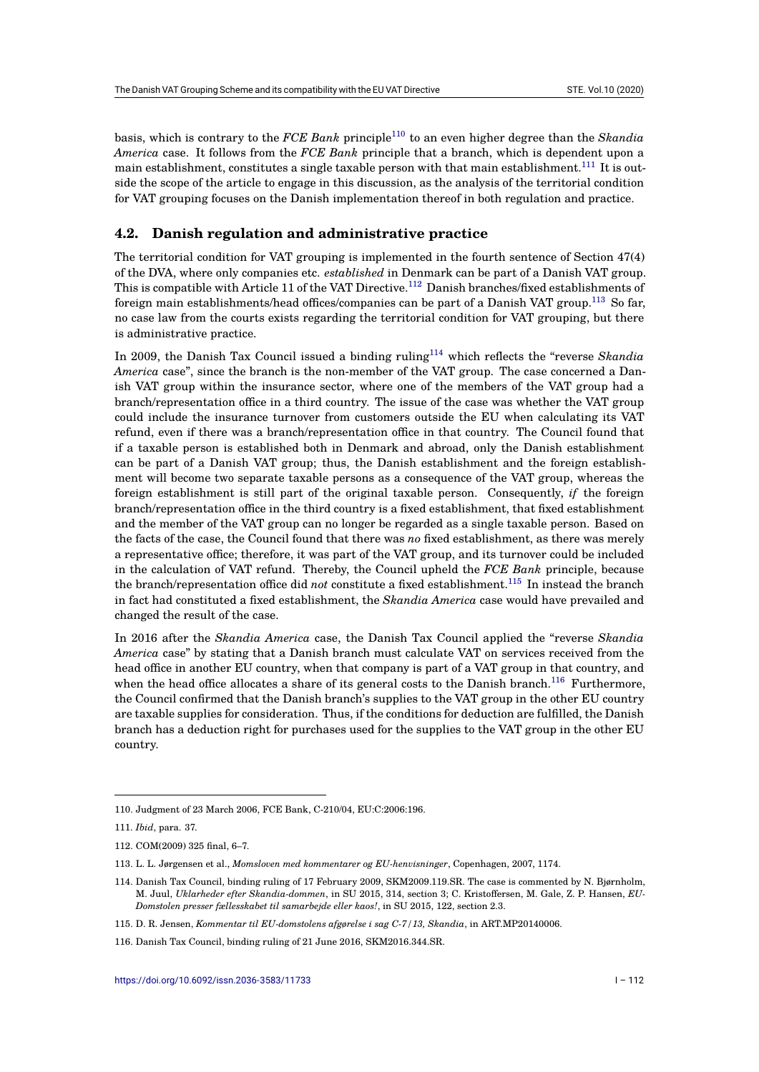basis, which is contrary to the *FCE Bank* principle<sup>110</sup> to an even higher degree than the *Skandia America* case. It follows from the *FCE Bank* principle that a branch, which is dependent upon a main establishment, constitutes a single taxable person with that main establishment.<sup>111</sup> It is outside the scope of the article to engage in this discussion, as the analysis of the territorial condition for VAT grouping focuses on the Danish implement[ati](#page-15-0)on thereof in both regulation and practice.

#### **4.2. Danish regulation and administrative practice**

The territorial condition for VAT grouping is implemented in the fourth sentence of Section 47(4) of the DVA, where only companies etc. *established* in Denmark can be part of a Danish VAT group. This is compatible with Article 11 of the VAT Directive.<sup>112</sup> Danish branches/fixed establishments of foreign main establishments/head offices/companies can be part of a Danish VAT group.<sup>113</sup> So far, no case law from the courts exists regarding the territorial condition for VAT grouping, but there is administrative practice.

In 2009, the Danish Tax Council issued a binding r[ulin](#page-15-1)g<sup>114</sup> which reflects the "reverse *[S](#page-15-2)kandia America* case", since the branch is the non-member of the VAT group. The case concerned a Danish VAT group within the insurance sector, where one of the members of the VAT group had a branch/representation office in a third country. The issue of the case was whether the VAT group could include the insurance turnover from customers ou[tsid](#page-15-3)e the EU when calculating its VAT refund, even if there was a branch/representation office in that country. The Council found that if a taxable person is established both in Denmark and abroad, only the Danish establishment can be part of a Danish VAT group; thus, the Danish establishment and the foreign establishment will become two separate taxable persons as a consequence of the VAT group, whereas the foreign establishment is still part of the original taxable person. Consequently, *if* the foreign branch/representation office in the third country is a fixed establishment, that fixed establishment and the member of the VAT group can no longer be regarded as a single taxable person. Based on the facts of the case, the Council found that there was *no* fixed establishment, as there was merely a representative office; therefore, it was part of the VAT group, and its turnover could be included in the calculation of VAT refund. Thereby, the Council upheld the *FCE Bank* principle, because the branch/representation office did *not* constitute a fixed establishment.<sup>115</sup> In instead the branch in fact had constituted a fixed establishment, the *Skandia America* case would have prevailed and changed the result of the case.

In 2016 after the *Skandia America* case, the Danish Tax Council appl[ied](#page-15-4) the "reverse *Skandia America* case" by stating that a Danish branch must calculate VAT on services received from the head office in another EU country, when that company is part of a VAT group in that country, and when the head office allocates a share of its general costs to the Danish branch.<sup>116</sup> Furthermore, the Council confirmed that the Danish branch's supplies to the VAT group in the other EU country are taxable supplies for consideration. Thus, if the conditions for deduction are fulfilled, the Danish branch has a deduction right for purchases used for the supplies to the VAT group in the other EU country.

<sup>110.</sup> Judgment of 23 March 2006, FCE Bank, C-210/04, EU:C:2006:196.

<sup>111.</sup> *Ibid*, para. 37.

<sup>112.</sup> COM(2009) 325 final, 6–7.

<span id="page-15-0"></span><sup>113.</sup> L. L. Jørgensen et al., *Momsloven med kommentarer og EU-henvisninger*, Copenhagen, 2007, 1174.

<sup>114.</sup> Danish Tax Council, binding ruling of 17 February 2009, SKM2009.119.SR. The case is commented by N. Bjørnholm, M. Juul, *Uklarheder efter Skandia-dommen*, in SU 2015, 314, section 3; C. Kristoffersen, M. Gale, Z. P. Hansen, *EU-Domstolen presser fællesskabet til samarbejde eller kaos!*, in SU 2015, 122, section 2.3.

<span id="page-15-2"></span><span id="page-15-1"></span><sup>115.</sup> D. R. Jensen, *Kommentar til EU-domstolens afgørelse i sag C-7/13, Skandia*, in ART.MP20140006.

<span id="page-15-4"></span><span id="page-15-3"></span><sup>116.</sup> Danish Tax Council, binding ruling of 21 June 2016, SKM2016.344.SR.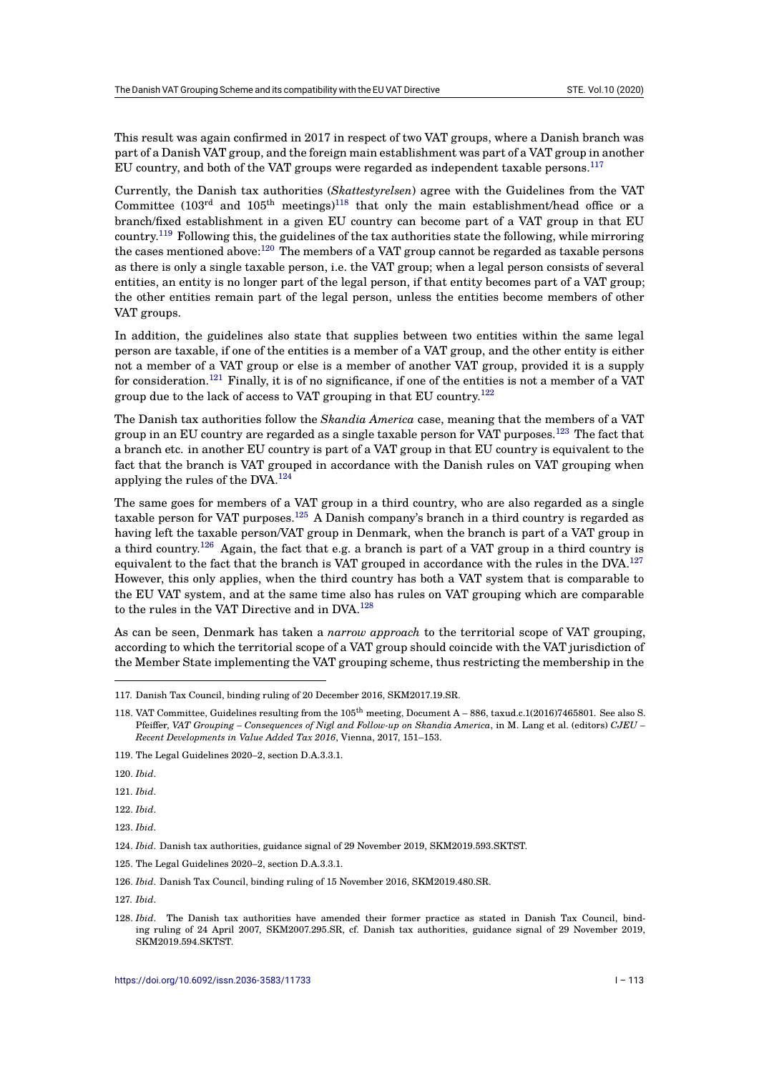This result was again confirmed in 2017 in respect of two VAT groups, where a Danish branch was part of a Danish VAT group, and the foreign main establishment was part of a VAT group in another EU country, and both of the VAT groups were regarded as independent taxable persons. $^{117}$ 

Currently, the Danish tax authorities (*Skattestyrelsen*) agree with the Guidelines from the VAT Committee (103<sup>rd</sup> and 105<sup>th</sup> meetings)<sup>118</sup> that only the main establishment/head office or a branch/fixed establishment in a given EU country can become part of a VAT group i[n th](#page-16-0)at EU country.<sup>119</sup> Following this, the guidelines of the tax authorities state the following, while mirroring the cases mentioned above:<sup>120</sup> The members of a VAT group cannot be regarded as taxable persons as there is only a single taxable person, i[.e.](#page-16-1) the VAT group; when a legal person consists of several entities, an entity is no longer part of the legal person, if that entity becomes part of a VAT group; the oth[er e](#page-16-2)ntities remain part of the legal person, unless the entities become members of other VAT groups.

In addition, the guidelines also state that supplies between two entities within the same legal person are taxable, if one of the entities is a member of a VAT group, and the other entity is either not a member of a VAT group or else is a member of another VAT group, provided it is a supply for consideration.<sup>121</sup> Finally, it is of no significance, if one of the entities is not a member of a VAT group due to the lack of access to VAT grouping in that EU country.<sup>122</sup>

The Danish tax authorities follow the *Skandia America* case, meaning that the members of a VAT group in an EU c[oun](#page-16-3)try are regarded as a single taxable person for VAT purposes.<sup>123</sup> The fact that a branch etc. in another EU country is part of a VAT group in that [EU](#page-16-4) country is equivalent to the fact that the branch is VAT grouped in accordance with the Danish rules on VAT grouping when applying the rules of the DVA.<sup>124</sup>

The same goes for members of a VAT group in a third country, who are also reg[arde](#page-16-5)d as a single taxable person for VAT purposes.<sup>125</sup> A Danish company's branch in a third country is regarded as having left the taxable person[/VA](#page-16-6)T group in Denmark, when the branch is part of a VAT group in a third country.<sup>126</sup> Again, the fact that e.g. a branch is part of a VAT group in a third country is equivalent to the fact that the branch is VAT grouped in accordance with the rules in the DVA.<sup>127</sup> However, this only applies, whe[n th](#page-16-7)e third country has both a VAT system that is comparable to the EU VAT system, and at the same time also has rules on VAT grouping which are comparable to t[he](#page-16-8) rules in the VAT Directive and in DVA.<sup>128</sup>

As can be seen, Denmark has taken a *narrow approach* to the territorial scope of VAT groupi[ng,](#page-16-9) according to which the territorial scope of a VAT group should coincide with the VAT jurisdiction of the Member State implementing the VAT gro[upi](#page-16-10)ng scheme, thus restricting the membership in the

<span id="page-16-2"></span>122. *Ibid*.

123. *Ibid*.

<span id="page-16-6"></span>127. *Ibid*.

<sup>117.</sup> Danish Tax Council, binding ruling of 20 December 2016, SKM2017.19.SR.

<sup>118.</sup> VAT Committee, Guidelines resulting from the 105th meeting, Document A – 886, taxud.c.1(2016)7465801. See also S. Pfeiffer, *VAT Grouping – Consequences of Nigl and Follow-up on Skandia America*, in M. Lang et al. (editors) *CJEU – Recent Developments in Value Added Tax 2016*, Vienna, 2017, 151–153.

<span id="page-16-0"></span><sup>119.</sup> The Legal Guidelines 2020–2, section D.A.3.3.1.

<span id="page-16-1"></span><sup>120.</sup> *Ibid*.

<sup>121.</sup> *Ibid*.

<span id="page-16-3"></span><sup>124.</sup> *Ibid*. Danish tax authorities, guidance signal of 29 November 2019, SKM2019.593.SKTST.

<span id="page-16-4"></span><sup>125.</sup> The Legal Guidelines 2020–2, section D.A.3.3.1.

<span id="page-16-5"></span><sup>126.</sup> *Ibid*. Danish Tax Council, binding ruling of 15 November 2016, SKM2019.480.SR.

<span id="page-16-10"></span><span id="page-16-9"></span><span id="page-16-8"></span><span id="page-16-7"></span><sup>128.</sup> *Ibid*. The Danish tax authorities have amended their former practice as stated in Danish Tax Council, binding ruling of 24 April 2007, SKM2007.295.SR, cf. Danish tax authorities, guidance signal of 29 November 2019, SKM2019.594.SKTST.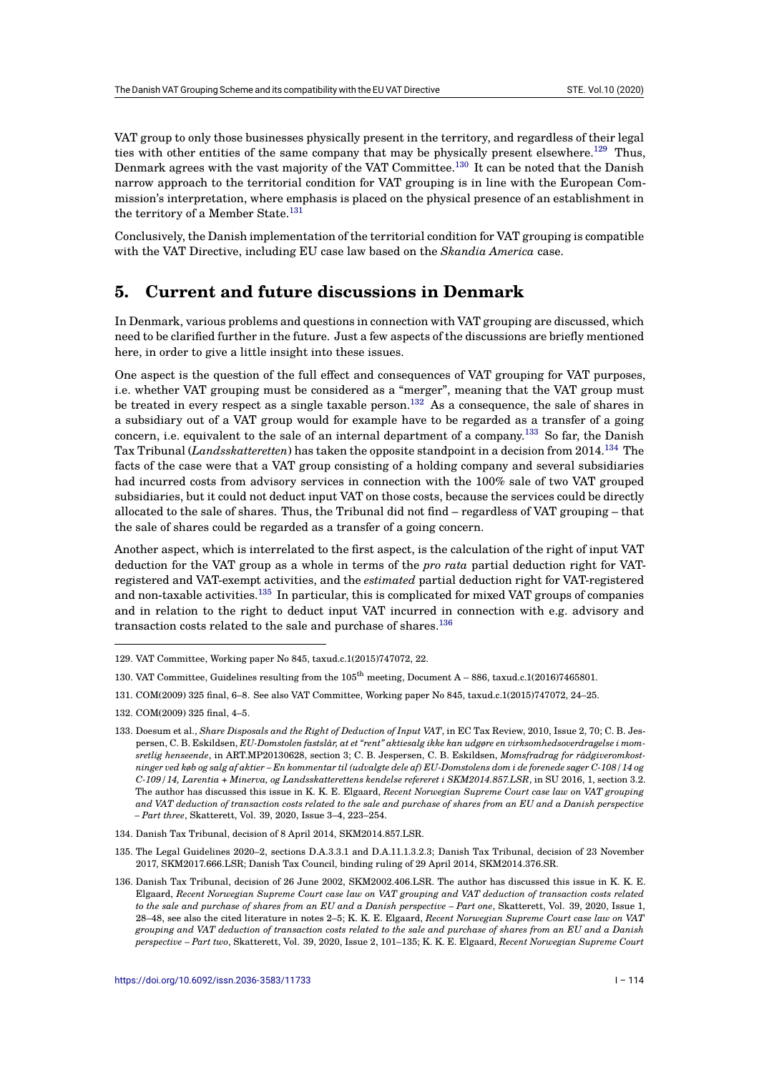VAT group to only those businesses physically present in the territory, and regardless of their legal ties with other entities of the same company that may be physically present elsewhere.<sup>129</sup> Thus, Denmark agrees with the vast majority of the VAT Committee.<sup>130</sup> It can be noted that the Danish narrow approach to the territorial condition for VAT grouping is in line with the European Commission's interpretation, where emphasis is placed on the physical presence of an establishment in the territory of a Member State.<sup>131</sup>

Conclusively, the Danish implementation of the territorial cond[itio](#page-17-0)n for VAT grouping is compatible with the VAT Directive, including EU case law based on the *Skandia America* case.

# **5. Current and future discussions in Denmark**

In Denmark, various problems and questions in connection with VAT grouping are discussed, which need to be clarified further in the future. Just a few aspects of the discussions are briefly mentioned here, in order to give a little insight into these issues.

One aspect is the question of the full effect and consequences of VAT grouping for VAT purposes, i.e. whether VAT grouping must be considered as a "merger", meaning that the VAT group must be treated in every respect as a single taxable person.<sup>132</sup> As a consequence, the sale of shares in a subsidiary out of a VAT group would for example have to be regarded as a transfer of a going concern, i.e. equivalent to the sale of an internal department of a company.<sup>133</sup> So far, the Danish Tax Tribunal (*Landsskatteretten*) has taken the opposite standpoint in a decision from 2014.<sup>134</sup> The facts of the case were that a VAT group consisting of [a ho](#page-17-1)lding company and several subsidiaries had incurred costs from advisory services in connection with the 100% sale of two VAT grouped subsidiaries, but it could not deduct input VAT on those costs, because the se[rvic](#page-17-2)es could be directly allocated to the sale of shares. Thus, the Tribunal did not find – regardless of VAT groupin[g –](#page-17-3) that the sale of shares could be regarded as a transfer of a going concern.

Another aspect, which is interrelated to the first aspect, is the calculation of the right of input VAT deduction for the VAT group as a whole in terms of the *pro rata* partial deduction right for VATregistered and VAT-exempt activities, and the *estimated* partial deduction right for VAT-registered and non-taxable activities.<sup>135</sup> In particular, this is complicated for mixed VAT groups of companies and in relation to the right to deduct input VAT incurred in connection with e.g. advisory and transaction costs related to the sale and purchase of shares.<sup>136</sup>

- 130. VAT Committee, Guidelines resulting from the 105th meeting, Docum[ent](#page-17-5) A 886, taxud.c.1(2016)7465801.
- 131. COM(2009) 325 final, 6–8. See also VAT Committee, Working paper No 845, taxud.c.1(2015)747072, 24–25.

<sup>129.</sup> VAT Committee, Working p[aper](#page-17-4) No 845, taxud.c.1(2015)747072, 22.

<sup>132.</sup> COM(2009) 325 final, 4–5.

<span id="page-17-1"></span><span id="page-17-0"></span><sup>133.</sup> Doesum et al., *Share Disposals and the Right of Deduction of Input VAT*, in EC Tax Review, 2010, Issue 2, 70; C. B. Jespersen, C. B. Eskildsen, *EU-Domstolen fastslår, at et "rent" aktiesalg ikke kan udgøre en virksomhedsoverdragelse i momsretlig henseende*, in ART.MP20130628, section 3; C. B. Jespersen, C. B. Eskildsen, *Momsfradrag for rådgiveromkostninger ved køb og salg af aktier – En kommentar til (udvalgte dele af) EU-Domstolens dom i de forenede sager C-108/14 og C-109/14, Larentia + Minerva, og Landsskatterettens kendelse refereret i SKM2014.857.LSR*, in SU 2016, 1, section 3.2. The author has discussed this issue in K. K. E. Elgaard, *Recent Norwegian Supreme Court case law on VAT grouping and VAT deduction of transaction costs related to the sale and purchase of shares from an EU and a Danish perspective – Part three*, Skatterett, Vol. 39, 2020, Issue 3–4, 223–254.

<span id="page-17-2"></span><sup>134.</sup> Danish Tax Tribunal, decision of 8 April 2014, SKM2014.857.LSR.

<sup>135.</sup> The Legal Guidelines 2020–2, sections D.A.3.3.1 and D.A.11.1.3.2.3; Danish Tax Tribunal, decision of 23 November 2017, SKM2017.666.LSR; Danish Tax Council, binding ruling of 29 April 2014, SKM2014.376.SR.

<span id="page-17-5"></span><span id="page-17-4"></span><span id="page-17-3"></span><sup>136.</sup> Danish Tax Tribunal, decision of 26 June 2002, SKM2002.406.LSR. The author has discussed this issue in K. K. E. Elgaard, *Recent Norwegian Supreme Court case law on VAT grouping and VAT deduction of transaction costs related to the sale and purchase of shares from an EU and a Danish perspective – Part one*, Skatterett, Vol. 39, 2020, Issue 1, 28–48, see also the cited literature in notes 2–5; K. K. E. Elgaard, *Recent Norwegian Supreme Court case law on VAT grouping and VAT deduction of transaction costs related to the sale and purchase of shares from an EU and a Danish perspective – Part two*, Skatterett, Vol. 39, 2020, Issue 2, 101–135; K. K. E. Elgaard, *Recent Norwegian Supreme Court*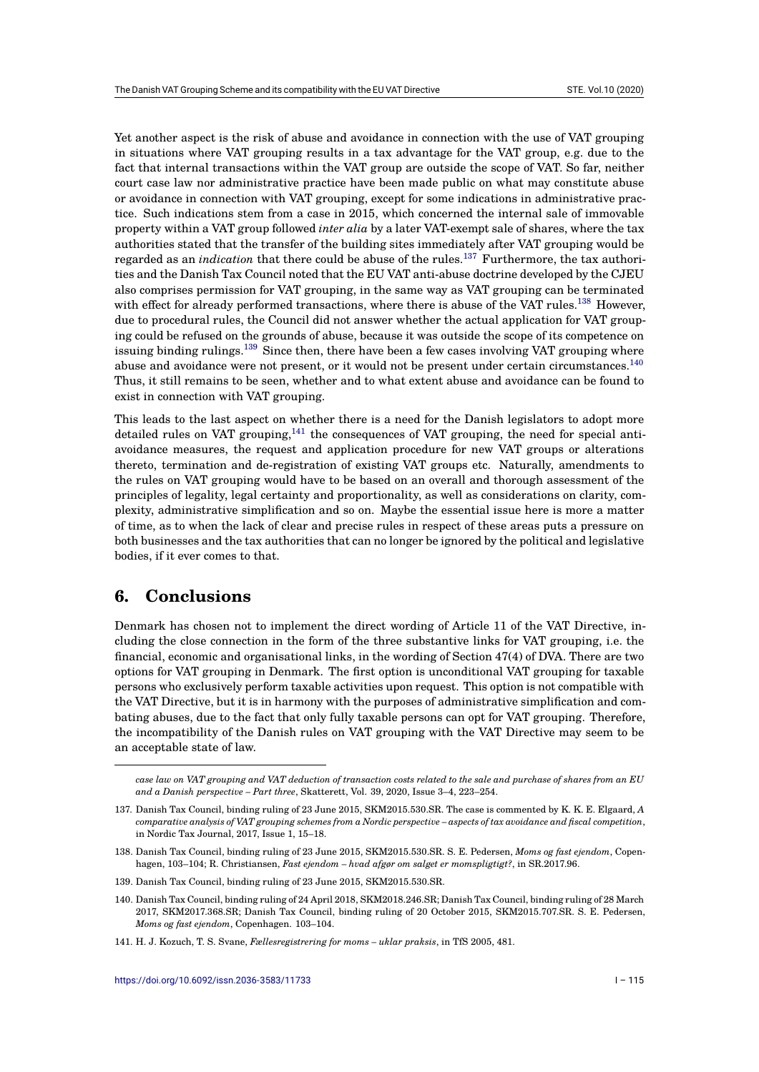Yet another aspect is the risk of abuse and avoidance in connection with the use of VAT grouping in situations where VAT grouping results in a tax advantage for the VAT group, e.g. due to the fact that internal transactions within the VAT group are outside the scope of VAT. So far, neither court case law nor administrative practice have been made public on what may constitute abuse or avoidance in connection with VAT grouping, except for some indications in administrative practice. Such indications stem from a case in 2015, which concerned the internal sale of immovable property within a VAT group followed *inter alia* by a later VAT-exempt sale of shares, where the tax authorities stated that the transfer of the building sites immediately after VAT grouping would be regarded as an *indication* that there could be abuse of the rules.<sup>137</sup> Furthermore, the tax authorities and the Danish Tax Council noted that the EU VAT anti-abuse doctrine developed by the CJEU also comprises permission for VAT grouping, in the same way as VAT grouping can be terminated with effect for already performed transactions, where there is abuse of the VAT rules.<sup>138</sup> However, due to procedural rules, the Council did not answer whether the [ac](#page-18-0)tual application for VAT grouping could be refused on the grounds of abuse, because it was outside the scope of its competence on issuing binding rulings.<sup>139</sup> Since then, there have been a few cases involving VAT grouping where abuse and avoidance were not present, or it would not be present under certain circu[ms](#page-18-1)tances.<sup>140</sup> Thus, it still remains to be seen, whether and to what extent abuse and avoidance can be found to exist in connection with VAT grouping.

This leads to the last a[spe](#page-18-2)ct on whether there is a need for the Danish legislators to adopt m[ore](#page-18-3) detailed rules on VAT grouping, $141$  the consequences of VAT grouping, the need for special antiavoidance measures, the request and application procedure for new VAT groups or alterations thereto, termination and de-registration of existing VAT groups etc. Naturally, amendments to the rules on VAT grouping would have to be based on an overall and thorough assessment of the principles of legality, legal certa[inty](#page-18-4) and proportionality, as well as considerations on clarity, complexity, administrative simplification and so on. Maybe the essential issue here is more a matter of time, as to when the lack of clear and precise rules in respect of these areas puts a pressure on both businesses and the tax authorities that can no longer be ignored by the political and legislative bodies, if it ever comes to that.

# **6. Conclusions**

Denmark has chosen not to implement the direct wording of Article 11 of the VAT Directive, including the close connection in the form of the three substantive links for VAT grouping, i.e. the financial, economic and organisational links, in the wording of Section 47(4) of DVA. There are two options for VAT grouping in Denmark. The first option is unconditional VAT grouping for taxable persons who exclusively perform taxable activities upon request. This option is not compatible with the VAT Directive, but it is in harmony with the purposes of administrative simplification and combating abuses, due to the fact that only fully taxable persons can opt for VAT grouping. Therefore, the incompatibility of the Danish rules on VAT grouping with the VAT Directive may seem to be an acceptable state of law.

*case law on VAT grouping and VAT deduction of transaction costs related to the sale and purchase of shares from an EU and a Danish perspective – Part three*, Skatterett, Vol. 39, 2020, Issue 3–4, 223–254.

<sup>137.</sup> Danish Tax Council, binding ruling of 23 June 2015, SKM2015.530.SR. The case is commented by K. K. E. Elgaard, *A comparative analysis of VAT grouping schemes from a Nordic perspective – aspects of tax avoidance and fiscal competition*, in Nordic Tax Journal, 2017, Issue 1, 15–18.

<sup>138.</sup> Danish Tax Council, binding ruling of 23 June 2015, SKM2015.530.SR. S. E. Pedersen, *Moms og fast ejendom*, Copenhagen, 103–104; R. Christiansen, *Fast ejendom – hvad afgør om salget er momspligtigt?*, in SR.2017.96.

<span id="page-18-0"></span><sup>139.</sup> Danish Tax Council, binding ruling of 23 June 2015, SKM2015.530.SR.

<span id="page-18-1"></span><sup>140.</sup> Danish Tax Council, binding ruling of 24 April 2018, SKM2018.246.SR; Danish Tax Council, binding ruling of 28 March 2017, SKM2017.368.SR; Danish Tax Council, binding ruling of 20 October 2015, SKM2015.707.SR. S. E. Pedersen, *Moms og fast ejendom*, Copenhagen. 103–104.

<span id="page-18-4"></span><span id="page-18-3"></span><span id="page-18-2"></span><sup>141.</sup> H. J. Kozuch, T. S. Svane, *Fællesregistrering for moms – uklar praksis*, in TfS 2005, 481.